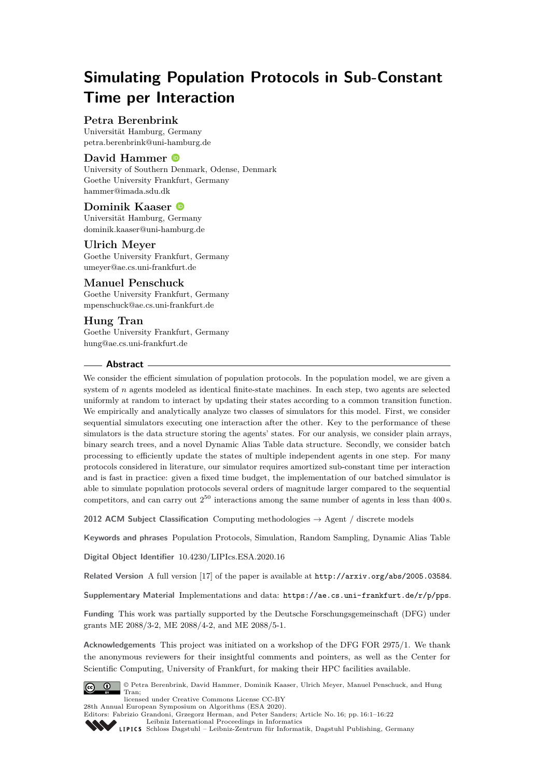# **Simulating Population Protocols in Sub-Constant Time per Interaction**

# **Petra Berenbrink**

Universität Hamburg, Germany [petra.berenbrink@uni-hamburg.de](mailto:petra.berenbrink@uni-hamburg.de)

### **David Hammer**

University of Southern Denmark, Odense, Denmark Goethe University Frankfurt, Germany [hammer@imada.sdu.dk](mailto:hammer@imada.sdu.dk)

### **Dominik Kaaser**

Universität Hamburg, Germany [dominik.kaaser@uni-hamburg.de](mailto:dominik.kaaser@uni-hamburg.de)

### **Ulrich Meyer**

Goethe University Frankfurt, Germany [umeyer@ae.cs.uni-frankfurt.de](mailto:umeyer@ae.cs.uni-frankfurt.de)

## **Manuel Penschuck**

Goethe University Frankfurt, Germany [mpenschuck@ae.cs.uni-frankfurt.de](mailto:mpenschuck@ae.cs.uni-frankfurt.de)

# **Hung Tran**

Goethe University Frankfurt, Germany [hung@ae.cs.uni-frankfurt.de](mailto:hung@ae.cs.uni-frankfurt.de)

### **Abstract**

We consider the efficient simulation of population protocols. In the population model, we are given a system of *n* agents modeled as identical finite-state machines. In each step, two agents are selected uniformly at random to interact by updating their states according to a common transition function. We empirically and analytically analyze two classes of simulators for this model. First, we consider sequential simulators executing one interaction after the other. Key to the performance of these simulators is the data structure storing the agents' states. For our analysis, we consider plain arrays, binary search trees, and a novel Dynamic Alias Table data structure. Secondly, we consider batch processing to efficiently update the states of multiple independent agents in one step. For many protocols considered in literature, our simulator requires amortized sub-constant time per interaction and is fast in practice: given a fixed time budget, the implementation of our batched simulator is able to simulate population protocols several orders of magnitude larger compared to the sequential competitors, and can carry out  $2^{50}$  interactions among the same number of agents in less than 400 s.

**2012 ACM Subject Classification** Computing methodologies → Agent / discrete models

**Keywords and phrases** Population Protocols, Simulation, Random Sampling, Dynamic Alias Table

**Digital Object Identifier** [10.4230/LIPIcs.ESA.2020.16](https://doi.org/10.4230/LIPIcs.ESA.2020.16)

Related Version A full version [\[17\]](#page-20-0) of the paper is available at <http://arxiv.org/abs/2005.03584>.

**Supplementary Material** Implementations and data: <https://ae.cs.uni-frankfurt.de/r/p/pps>.

**Funding** This work was partially supported by the Deutsche Forschungsgemeinschaft (DFG) under grants ME 2088/3-2, ME 2088/4-2, and ME 2088/5-1.

**Acknowledgements** This project was initiated on a workshop of the DFG FOR 2975/1. We thank the anonymous reviewers for their insightful comments and pointers, as well as the Center for Scientific Computing, University of Frankfurt, for making their HPC facilities available.



© Petra Berenbrink, David Hammer, Dominik Kaaser, Ulrich Meyer, Manuel Penschuck, and Hung Tran;

licensed under Creative Commons License CC-BY 28th Annual European Symposium on Algorithms (ESA 2020).

Editors: Fabrizio Grandoni, Grzegorz Herman, and Peter Sanders; Article No. 16; pp. 16:1–16[:22](#page-21-0) [Leibniz International Proceedings in Informatics](https://www.dagstuhl.de/lipics/)

[Schloss Dagstuhl – Leibniz-Zentrum für Informatik, Dagstuhl Publishing, Germany](https://www.dagstuhl.de)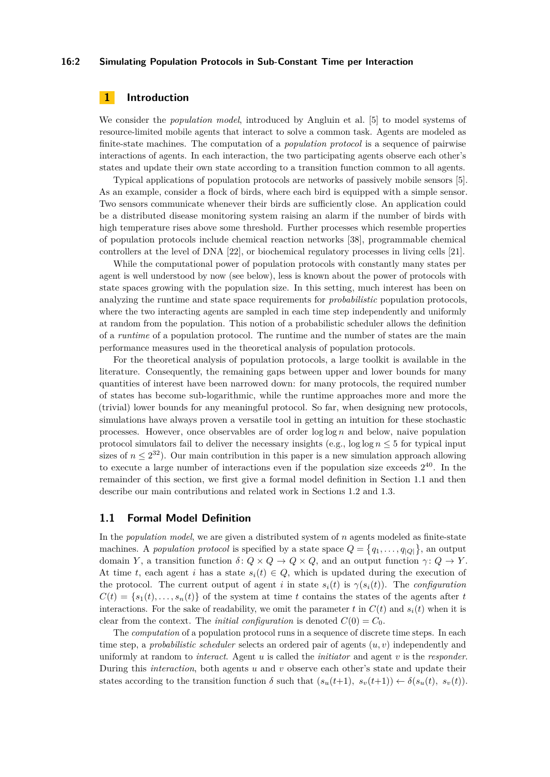### **16:2 Simulating Population Protocols in Sub-Constant Time per Interaction**

# **1 Introduction**

We consider the *population model*, introduced by Angluin et al. [\[5\]](#page-19-0) to model systems of resource-limited mobile agents that interact to solve a common task. Agents are modeled as finite-state machines. The computation of a *population protocol* is a sequence of pairwise interactions of agents. In each interaction, the two participating agents observe each other's states and update their own state according to a transition function common to all agents.

Typical applications of population protocols are networks of passively mobile sensors [\[5\]](#page-19-0). As an example, consider a flock of birds, where each bird is equipped with a simple sensor. Two sensors communicate whenever their birds are sufficiently close. An application could be a distributed disease monitoring system raising an alarm if the number of birds with high temperature rises above some threshold. Further processes which resemble properties of population protocols include chemical reaction networks [\[38\]](#page-21-1), programmable chemical controllers at the level of DNA [\[22\]](#page-20-1), or biochemical regulatory processes in living cells [\[21\]](#page-20-2).

While the computational power of population protocols with constantly many states per agent is well understood by now (see below), less is known about the power of protocols with state spaces growing with the population size. In this setting, much interest has been on analyzing the runtime and state space requirements for *probabilistic* population protocols, where the two interacting agents are sampled in each time step independently and uniformly at random from the population. This notion of a probabilistic scheduler allows the definition of a *runtime* of a population protocol. The runtime and the number of states are the main performance measures used in the theoretical analysis of population protocols.

For the theoretical analysis of population protocols, a large toolkit is available in the literature. Consequently, the remaining gaps between upper and lower bounds for many quantities of interest have been narrowed down: for many protocols, the required number of states has become sub-logarithmic, while the runtime approaches more and more the (trivial) lower bounds for any meaningful protocol. So far, when designing new protocols, simulations have always proven a versatile tool in getting an intuition for these stochastic processes. However, once observables are of order log log *n* and below, naive population protocol simulators fail to deliver the necessary insights (e.g.,  $\log \log n \leq 5$  for typical input sizes of  $n \leq 2^{32}$ ). Our main contribution in this paper is a new simulation approach allowing to execute a large number of interactions even if the population size exceeds  $2^{40}$ . In the remainder of this section, we first give a formal model definition in [Section 1.1](#page-1-0) and then describe our main contributions and related work in [Sections 1.2](#page-2-0) and [1.3.](#page-3-0)

### <span id="page-1-0"></span>**1.1 Formal Model Definition**

In the *population model*, we are given a distributed system of *n* agents modeled as finite-state machines. A *population protocol* is specified by a state space  $Q = \{q_1, \ldots, q_{|Q|}\}\$ , an output domain *Y*, a transition function  $\delta: Q \times Q \to Q \times Q$ , and an output function  $\gamma: Q \to Y$ . At time *t*, each agent *i* has a state  $s_i(t) \in Q$ , which is updated during the execution of the protocol. The current output of agent *i* in state  $s_i(t)$  is  $\gamma(s_i(t))$ . The *configuration*  $C(t) = \{s_1(t), \ldots, s_n(t)\}\$  of the system at time *t* contains the states of the agents after *t* interactions. For the sake of readability, we omit the parameter *t* in  $C(t)$  and  $s_i(t)$  when it is clear from the context. The *initial configuration* is denoted  $C(0) = C_0$ .

The *computation* of a population protocol runs in a sequence of discrete time steps. In each time step, a *probabilistic scheduler* selects an ordered pair of agents (*u, v*) independently and uniformly at random to *interact*. Agent *u* is called the *initiator* and agent *v* is the *responder*. During this *interaction*, both agents *u* and *v* observe each other's state and update their states according to the transition function  $\delta$  such that  $(s_u(t+1), s_v(t+1)) \leftarrow \delta(s_u(t), s_v(t))$ .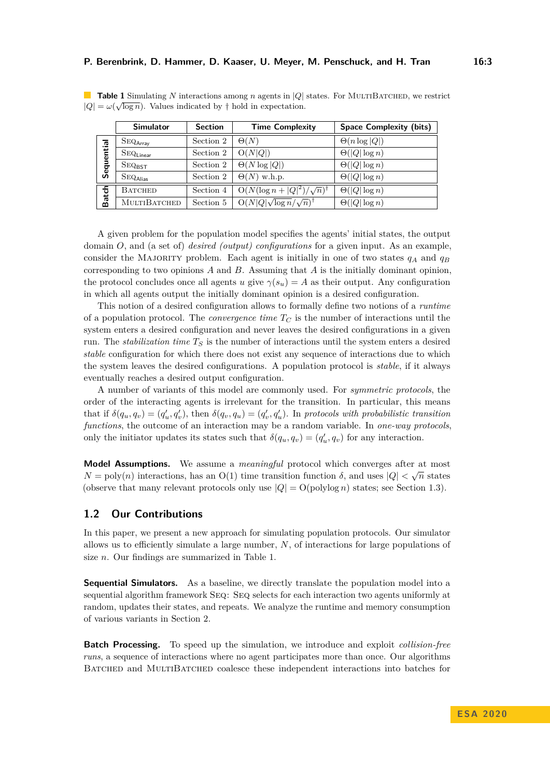<span id="page-2-1"></span>**Table 1** Simulating *N* interactions among *n* agents in |*Q*| states. For MULTIBATCHED, we restrict  $|Q| = \omega(\sqrt{\log n})$ . Values indicated by  $\dagger$  hold in expectation.

|            | <b>Simulator</b>                | <b>Section</b> | <b>Time Complexity</b>                    | <b>Space Complexity (bits)</b> |
|------------|---------------------------------|----------------|-------------------------------------------|--------------------------------|
| Sequential | $\mathrm{SEQ}_{\mathsf{Array}}$ | Section 2      | $\Theta(N)$                               | $\Theta(n \log  Q )$           |
|            | $\rm SEQ_{Linear}$              | Section 2      | O(N Q )                                   | $\Theta( Q \log n)$            |
|            | $SEQ_{\text{RST}}$              | Section 2      | $\Theta(N \log  Q )$                      | $\Theta( Q \log n)$            |
|            | $\mathrm{SEQ}_{\mathrm{Alias}}$ | Section 2      | $\Theta(N)$ w.h.p.                        | $\Theta( Q \log n)$            |
| Batch      | <b>BATCHED</b>                  | Section 4      | $O(N(\log n +  Q ^2)/\sqrt{n})^{\dagger}$ | $\Theta( Q \log n)$            |
|            | MULTIBATCHED                    | Section 5      | $O(N Q \sqrt{\log n}/\sqrt{n})^{\dagger}$ | $\Theta( Q \log n)$            |

A given problem for the population model specifies the agents' initial states, the output domain *O*, and (a set of) *desired (output) configurations* for a given input. As an example, consider the MAJORITY problem. Each agent is initially in one of two states  $q_A$  and  $q_B$ corresponding to two opinions *A* and *B*. Assuming that *A* is the initially dominant opinion, the protocol concludes once all agents *u* give  $\gamma(s_u) = A$  as their output. Any configuration in which all agents output the initially dominant opinion is a desired configuration.

This notion of a desired configuration allows to formally define two notions of a *runtime* of a population protocol. The *convergence time*  $T_C$  is the number of interactions until the system enters a desired configuration and never leaves the desired configurations in a given run. The *stabilization time*  $T<sub>S</sub>$  is the number of interactions until the system enters a desired *stable* configuration for which there does not exist any sequence of interactions due to which the system leaves the desired configurations. A population protocol is *stable*, if it always eventually reaches a desired output configuration.

A number of variants of this model are commonly used. For *symmetric protocols*, the order of the interacting agents is irrelevant for the transition. In particular, this means that if  $\delta(q_u, q_v) = (q'_u, q'_v)$ , then  $\delta(q_v, q_u) = (q'_v, q'_u)$ . In protocols with probabilistic transition *functions*, the outcome of an interaction may be a random variable. In *one-way protocols*, only the initiator updates its states such that  $\delta(q_u, q_v) = (q'_u, q_v)$  for any interaction.

**Model Assumptions.** We assume a *meaningful* protocol which converges after at most √  $N = \text{poly}(n)$  interactions, has an  $O(1)$  time transition function  $\delta$ , and uses  $|Q| < \sqrt{n}$  states (observe that many relevant protocols only use  $|Q| = O(poly \log n)$  states; see [Section 1.3\)](#page-3-0).

## <span id="page-2-0"></span>**1.2 Our Contributions**

In this paper, we present a new approach for simulating population protocols. Our simulator allows us to efficiently simulate a large number, *N*, of interactions for large populations of size *n*. Our findings are summarized in [Table 1.](#page-2-1)

**Sequential Simulators.** As a baseline, we directly translate the population model into a sequential algorithm framework Seq: Seq selects for each interaction two agents uniformly at random, updates their states, and repeats. We analyze the runtime and memory consumption of various variants in [Section 2.](#page-4-0)

**Batch Processing.** To speed up the simulation, we introduce and exploit *collision-free runs*, a sequence of interactions where no agent participates more than once. Our algorithms Batched and MultiBatched coalesce these independent interactions into batches for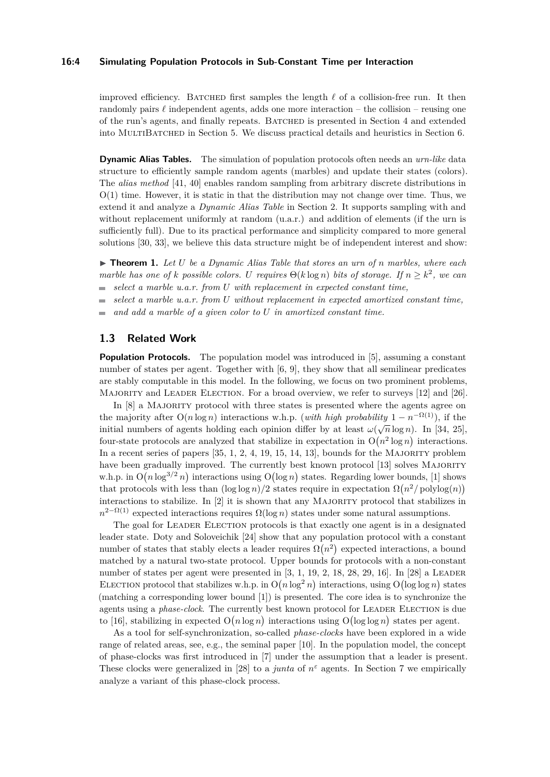### **16:4 Simulating Population Protocols in Sub-Constant Time per Interaction**

improved efficiency. BATCHED first samples the length  $\ell$  of a collision-free run. It then randomly pairs  $\ell$  independent agents, adds one more interaction – the collision – reusing one of the run's agents, and finally repeats. Batched is presented in [Section 4](#page-8-0) and extended into MultiBatched in [Section 5.](#page-11-0) We discuss practical details and heuristics in [Section 6.](#page-14-0)

**Dynamic Alias Tables.** The simulation of population protocols often needs an *urn-like* data structure to efficiently sample random agents (marbles) and update their states (colors). The *alias method* [\[41,](#page-21-2) [40\]](#page-21-3) enables random sampling from arbitrary discrete distributions in  $O(1)$  time. However, it is static in that the distribution may not change over time. Thus, we extend it and analyze a *Dynamic Alias Table* in [Section 2.](#page-4-0) It supports sampling with and without replacement uniformly at random  $(u.a.r.)$  and addition of elements (if the urn is sufficiently full). Due to its practical performance and simplicity compared to more general solutions [\[30,](#page-21-4) [33\]](#page-21-5), we believe this data structure might be of independent interest and show:

<span id="page-3-1"></span>I **Theorem 1.** *Let U be a Dynamic Alias Table that stores an urn of n marbles, where each marble has one of k possible colors. U requires*  $\Theta(k \log n)$  *bits of storage. If*  $n \geq k^2$ , we can *select a marble u.a.r. from U with replacement in expected constant time,*  $\blacksquare$ 

*select a marble u.a.r. from U without replacement in expected amortized constant time,*

*and add a marble of a given color to U in amortized constant time.*  $\overline{a}$ 

# <span id="page-3-0"></span>**1.3 Related Work**

**Population Protocols.** The population model was introduced in [\[5\]](#page-19-0), assuming a constant number of states per agent. Together with [\[6,](#page-19-1) [9\]](#page-19-2), they show that all semilinear predicates are stably computable in this model. In the following, we focus on two prominent problems, MAJORITY and LEADER ELECTION. For a broad overview, we refer to surveys [\[12\]](#page-20-3) and [\[26\]](#page-20-4).

In [\[8\]](#page-19-3) a MAJORITY protocol with three states is presented where the agents agree on the majority after  $O(n \log n)$  interactions w.h.p. (*with high probability*  $1 - n^{-\Omega(1)}$ ), if the initial numbers of agents holding each opinion differ by at least  $\omega(\sqrt{n}\log n)$ . In [\[34,](#page-21-6) [25\]](#page-20-5), four-state protocols are analyzed that stabilize in expectation in  $O(n^2 \log n)$  interactions. In a recent series of papers  $[35, 1, 2, 4, 19, 15, 14, 13]$  $[35, 1, 2, 4, 19, 15, 14, 13]$  $[35, 1, 2, 4, 19, 15, 14, 13]$  $[35, 1, 2, 4, 19, 15, 14, 13]$  $[35, 1, 2, 4, 19, 15, 14, 13]$  $[35, 1, 2, 4, 19, 15, 14, 13]$  $[35, 1, 2, 4, 19, 15, 14, 13]$  $[35, 1, 2, 4, 19, 15, 14, 13]$  $[35, 1, 2, 4, 19, 15, 14, 13]$  $[35, 1, 2, 4, 19, 15, 14, 13]$  $[35, 1, 2, 4, 19, 15, 14, 13]$  $[35, 1, 2, 4, 19, 15, 14, 13]$  $[35, 1, 2, 4, 19, 15, 14, 13]$  $[35, 1, 2, 4, 19, 15, 14, 13]$  $[35, 1, 2, 4, 19, 15, 14, 13]$ , bounds for the MAJORITY problem have been gradually improved. The currently best known protocol [\[13\]](#page-20-9) solves MAJORITY w.h.p. in  $O(n \log^{3/2} n)$  interactions using  $O(\log n)$  states. Regarding lower bounds, [\[1\]](#page-19-4) shows that protocols with less than  $(\log \log n)/2$  states require in expectation  $\Omega(n^2/\text{polylog}(n))$ interactions to stabilize. In [\[2\]](#page-19-5) it is shown that any MAJORITY protocol that stabilizes in  $n^{2-\Omega(1)}$  expected interactions requires  $\Omega(\log n)$  states under some natural assumptions.

The goal for LEADER ELECTION protocols is that exactly one agent is in a designated leader state. Doty and Soloveichik [\[24\]](#page-20-10) show that any population protocol with a constant number of states that stably elects a leader requires  $\Omega(n^2)$  expected interactions, a bound matched by a natural two-state protocol. Upper bounds for protocols with a non-constant number of states per agent were presented in  $[3, 1, 19, 2, 18, 28, 29, 16]$  $[3, 1, 19, 2, 18, 28, 29, 16]$  $[3, 1, 19, 2, 18, 28, 29, 16]$  $[3, 1, 19, 2, 18, 28, 29, 16]$  $[3, 1, 19, 2, 18, 28, 29, 16]$  $[3, 1, 19, 2, 18, 28, 29, 16]$  $[3, 1, 19, 2, 18, 28, 29, 16]$  $[3, 1, 19, 2, 18, 28, 29, 16]$  $[3, 1, 19, 2, 18, 28, 29, 16]$  $[3, 1, 19, 2, 18, 28, 29, 16]$  $[3, 1, 19, 2, 18, 28, 29, 16]$  $[3, 1, 19, 2, 18, 28, 29, 16]$  $[3, 1, 19, 2, 18, 28, 29, 16]$  $[3, 1, 19, 2, 18, 28, 29, 16]$  $[3, 1, 19, 2, 18, 28, 29, 16]$ . In  $[28]$  a LEADER ELECTION protocol that stabilizes w.h.p. in  $O(n \log^2 n)$  interactions, using  $O(\log \log n)$  states (matching a corresponding lower bound [\[1\]](#page-19-4)) is presented. The core idea is to synchronize the agents using a *phase-clock*. The currently best known protocol for LEADER ELECTION is due to [\[16\]](#page-20-14), stabilizing in expected  $O(n \log n)$  interactions using  $O(\log \log n)$  states per agent.

As a tool for self-synchronization, so-called *phase-clocks* have been explored in a wide range of related areas, see, e.g., the seminal paper [\[10\]](#page-20-15). In the population model, the concept of phase-clocks was first introduced in [\[7\]](#page-19-8) under the assumption that a leader is present. These clocks were generalized in [\[28\]](#page-20-12) to a *junta* of  $n^{\varepsilon}$  agents. In [Section 7](#page-16-0) we empirically analyze a variant of this phase-clock process.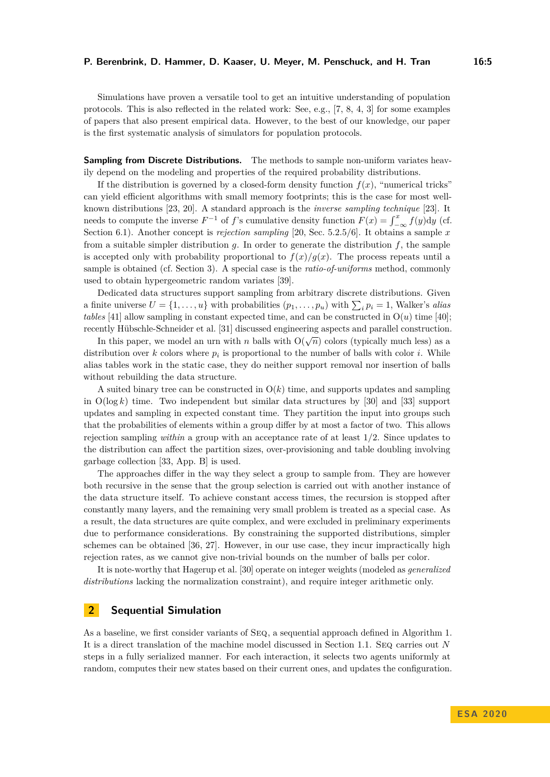Simulations have proven a versatile tool to get an intuitive understanding of population protocols. This is also reflected in the related work: See, e.g., [\[7,](#page-19-8) [8,](#page-19-3) [4,](#page-19-6) [3\]](#page-19-7) for some examples of papers that also present empirical data. However, to the best of our knowledge, our paper is the first systematic analysis of simulators for population protocols.

**Sampling from Discrete Distributions.** The methods to sample non-uniform variates heavily depend on the modeling and properties of the required probability distributions.

If the distribution is governed by a closed-form density function  $f(x)$ , "numerical tricks" can yield efficient algorithms with small memory footprints; this is the case for most wellknown distributions [\[23,](#page-20-16) [20\]](#page-20-17). A standard approach is the *inverse sampling technique* [\[23\]](#page-20-16). It needs to compute the inverse  $F^{-1}$  of *f*'s cumulative density function  $F(x) = \int_{-\infty}^{x} f(y) dy$  (cf. [Section 6.1\)](#page-14-1). Another concept is *rejection sampling* [\[20,](#page-20-17) Sec. 5.2.5/6]. It obtains a sample *x* from a suitable simpler distribution  $q$ . In order to generate the distribution  $f$ , the sample is accepted only with probability proportional to  $f(x)/g(x)$ . The process repeats until a sample is obtained (cf. [Section 3\)](#page-6-0). A special case is the *ratio-of-uniforms* method, commonly used to obtain hypergeometric random variates [\[39\]](#page-21-8).

Dedicated data structures support sampling from arbitrary discrete distributions. Given a finite universe  $U = \{1, \ldots, u\}$  with probabilities  $(p_1, \ldots, p_u)$  with  $\sum_i p_i = 1$ , Walker's *alias tables* [\[41\]](#page-21-2) allow sampling in constant expected time, and can be constructed in  $O(u)$  time [\[40\]](#page-21-3); recently Hübschle-Schneider et al. [\[31\]](#page-21-9) discussed engineering aspects and parallel construction.

In this paper, we model an urn with *n* balls with  $O(\sqrt{n})$  colors (typically much less) as a distribution over  $k$  colors where  $p_i$  is proportional to the number of balls with color  $i$ . While alias tables work in the static case, they do neither support removal nor insertion of balls without rebuilding the data structure.

A suited binary tree can be constructed in  $O(k)$  time, and supports updates and sampling in  $O(\log k)$  time. Two independent but similar data structures by [\[30\]](#page-21-4) and [\[33\]](#page-21-5) support updates and sampling in expected constant time. They partition the input into groups such that the probabilities of elements within a group differ by at most a factor of two. This allows rejection sampling *within* a group with an acceptance rate of at least 1*/*2. Since updates to the distribution can affect the partition sizes, over-provisioning and table doubling involving garbage collection [\[33,](#page-21-5) App. B] is used.

The approaches differ in the way they select a group to sample from. They are however both recursive in the sense that the group selection is carried out with another instance of the data structure itself. To achieve constant access times, the recursion is stopped after constantly many layers, and the remaining very small problem is treated as a special case. As a result, the data structures are quite complex, and were excluded in preliminary experiments due to performance considerations. By constraining the supported distributions, simpler schemes can be obtained [\[36,](#page-21-10) [27\]](#page-20-18). However, in our use case, they incur impractically high rejection rates, as we cannot give non-trivial bounds on the number of balls per color.

It is note-worthy that Hagerup et al. [\[30\]](#page-21-4) operate on integer weights (modeled as *generalized distributions* lacking the normalization constraint), and require integer arithmetic only.

# <span id="page-4-0"></span>**2 Sequential Simulation**

As a baseline, we first consider variants of Seq, a sequential approach defined in [Algorithm 1.](#page-5-0) It is a direct translation of the machine model discussed in [Section 1.1.](#page-1-0) Seq carries out *N* steps in a fully serialized manner. For each interaction, it selects two agents uniformly at random, computes their new states based on their current ones, and updates the configuration.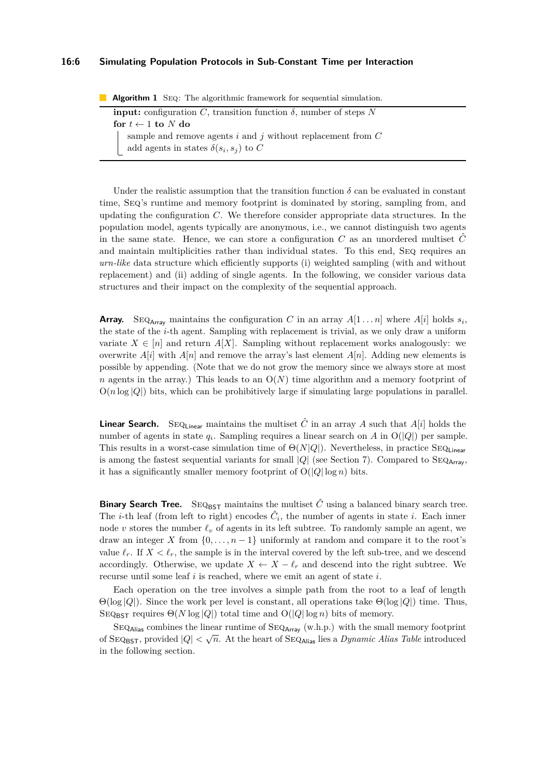### **16:6 Simulating Population Protocols in Sub-Constant Time per Interaction**

**Algorithm 1** Seq: The algorithmic framework for sequential simulation.

<span id="page-5-0"></span>

| <b>input:</b> configuration C, transition function $\delta$ , number of steps N |                                                               |  |  |  |
|---------------------------------------------------------------------------------|---------------------------------------------------------------|--|--|--|
| for $t \leftarrow 1$ to N do                                                    |                                                               |  |  |  |
|                                                                                 | sample and remove agents i and j without replacement from $C$ |  |  |  |
|                                                                                 | add agents in states $\delta(s_i, s_j)$ to C                  |  |  |  |

Under the realistic assumption that the transition function  $\delta$  can be evaluated in constant time, Seq's runtime and memory footprint is dominated by storing, sampling from, and updating the configuration *C*. We therefore consider appropriate data structures. In the population model, agents typically are anonymous, i.e., we cannot distinguish two agents in the same state. Hence, we can store a configuration  $C$  as an unordered multiset  $\hat{C}$ and maintain multiplicities rather than individual states. To this end, SEQ requires an *urn-like* data structure which efficiently supports (i) weighted sampling (with and without replacement) and (ii) adding of single agents. In the following, we consider various data structures and their impact on the complexity of the sequential approach.

**Array.** SEQ<sub>Array</sub> maintains the configuration *C* in an array  $A[1 \dots n]$  where  $A[i]$  holds  $s_i$ , the state of the *i*-th agent. Sampling with replacement is trivial, as we only draw a uniform variate  $X \in [n]$  and return  $A[X]$ . Sampling without replacement works analogously: we overwrite  $A[i]$  with  $A[n]$  and remove the array's last element  $A[n]$ . Adding new elements is possible by appending. (Note that we do not grow the memory since we always store at most *n* agents in the array.) This leads to an  $O(N)$  time algorithm and a memory footprint of  $O(n \log |Q|)$  bits, which can be prohibitively large if simulating large populations in parallel.

**Linear Search.** SEQ<sub>Linear</sub> maintains the multiset  $\hat{C}$  in an array *A* such that *A*[*i*] holds the number of agents in state  $q_i$ . Sampling requires a linear search on *A* in  $O(|Q|)$  per sample. This results in a worst-case simulation time of  $\Theta(N|Q|)$ . Nevertheless, in practice SEQ<sub>Linear</sub> is among the fastest sequential variants for small  $|Q|$  (see [Section 7\)](#page-16-0). Compared to SEQ<sub>Array</sub>, it has a significantly smaller memory footprint of  $O(|Q| \log n)$  bits.

**Binary Search Tree.** SEQ<sub>BST</sub> maintains the multiset  $\hat{C}$  using a balanced binary search tree. The *i*-th leaf (from left to right) encodes  $\hat{C}_i$ , the number of agents in state *i*. Each inner node *v* stores the number  $\ell_v$  of agents in its left subtree. To randomly sample an agent, we draw an integer *X* from  $\{0, \ldots, n-1\}$  uniformly at random and compare it to the root's value  $\ell_r$ . If  $X < \ell_r$ , the sample is in the interval covered by the left sub-tree, and we descend accordingly. Otherwise, we update  $X \leftarrow X - \ell_r$  and descend into the right subtree. We recurse until some leaf *i* is reached, where we emit an agent of state *i*.

Each operation on the tree involves a simple path from the root to a leaf of length Θ(log |*Q*|). Since the work per level is constant, all operations take Θ(log |*Q*|) time. Thus, SEQ<sub>BST</sub> requires  $\Theta(N \log |Q|)$  total time and  $\Theta(|Q| \log n)$  bits of memory.

 $SEQ_{\text{Alias}}$  combines the linear runtime of  $SEQ_{\text{Array}}$  (w.h.p.) with the small memory footprint of SEQ<sub>BST</sub>, provided  $|Q| < \sqrt{n}$ . At the heart of SEQ<sub>Alias</sub> lies a *Dynamic Alias Table* introduced in the following section.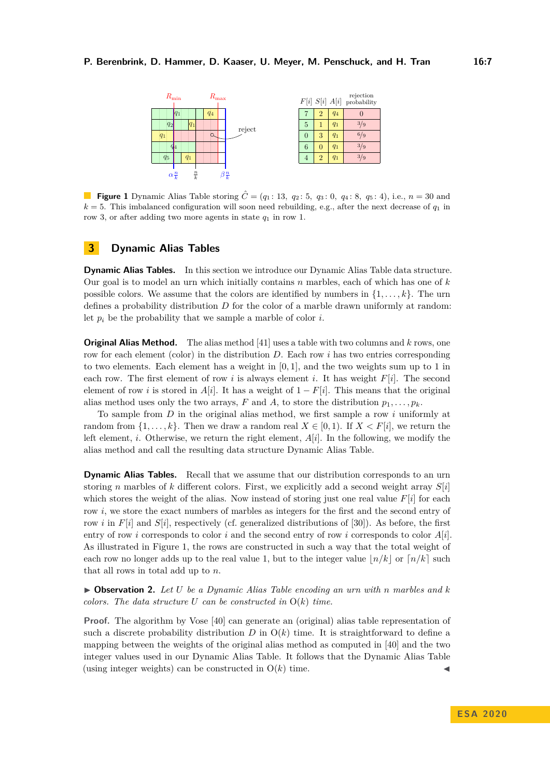<span id="page-6-1"></span>

**Figure 1** Dynamic Alias Table storing  $\hat{C} = (q_1 : 13, q_2 : 5, q_3 : 0, q_4 : 8, q_5 : 4)$ , i.e.,  $n = 30$  and  $k = 5$ . This imbalanced configuration will soon need rebuilding, e.g., after the next decrease of  $q_1$  in row 3, or after adding two more agents in state  $q_1$  in row 1.

### **3 Dynamic Alias Tables**

<span id="page-6-0"></span>**Dynamic Alias Tables.** In this section we introduce our Dynamic Alias Table data structure. Our goal is to model an urn which initially contains *n* marbles, each of which has one of *k* possible colors. We assume that the colors are identified by numbers in  $\{1, \ldots, k\}$ . The urn defines a probability distribution *D* for the color of a marble drawn uniformly at random: let  $p_i$  be the probability that we sample a marble of color  $i$ .

**Original Alias Method.** The alias method [\[41\]](#page-21-2) uses a table with two columns and *k* rows, one row for each element (color) in the distribution *D*. Each row *i* has two entries corresponding to two elements. Each element has a weight in [0*,* 1], and the two weights sum up to 1 in each row. The first element of row *i* is always element *i*. It has weight  $F[i]$ . The second element of row *i* is stored in *A*[*i*]. It has a weight of  $1 - F[i]$ . This means that the original alias method uses only the two arrays, *F* and *A*, to store the distribution  $p_1, \ldots, p_k$ .

To sample from *D* in the original alias method, we first sample a row *i* uniformly at random from  $\{1, \ldots, k\}$ . Then we draw a random real  $X \in [0, 1)$ . If  $X \lt F[i]$ , we return the left element, *i*. Otherwise, we return the right element,  $A[i]$ . In the following, we modify the alias method and call the resulting data structure Dynamic Alias Table.

**Dynamic Alias Tables.** Recall that we assume that our distribution corresponds to an urn storing *n* marbles of *k* different colors. First, we explicitly add a second weight array *S*[*i*] which stores the weight of the alias. Now instead of storing just one real value  $F[i]$  for each row *i*, we store the exact numbers of marbles as integers for the first and the second entry of row *i* in  $F[i]$  and  $S[i]$ , respectively (cf. generalized distributions of [\[30\]](#page-21-4)). As before, the first entry of row *i* corresponds to color *i* and the second entry of row *i* corresponds to color *A*[*i*]. As illustrated in [Figure 1,](#page-6-1) the rows are constructed in such a way that the total weight of each row no longer adds up to the real value 1, but to the integer value  $n/k$  or  $n/k$  such that all rows in total add up to *n*.

<span id="page-6-2"></span>I **Observation 2.** *Let U be a Dynamic Alias Table encoding an urn with n marbles and k colors. The data structure U can be constructed in* O(*k*) *time.*

**Proof.** The algorithm by Vose [\[40\]](#page-21-3) can generate an (original) alias table representation of such a discrete probability distribution  $D$  in  $O(k)$  time. It is straightforward to define a mapping between the weights of the original alias method as computed in [\[40\]](#page-21-3) and the two integer values used in our Dynamic Alias Table. It follows that the Dynamic Alias Table (using integer weights) can be constructed in  $O(k)$  time.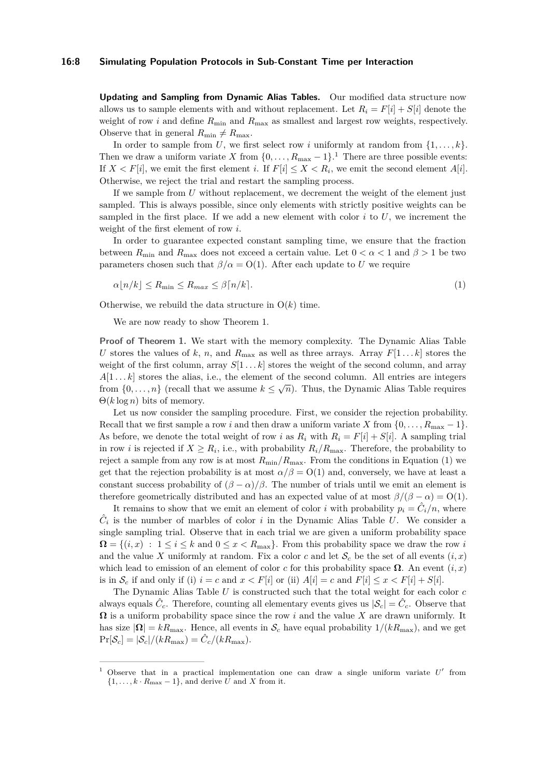**Updating and Sampling from Dynamic Alias Tables.** Our modified data structure now allows us to sample elements with and without replacement. Let  $R_i = F[i] + S[i]$  denote the weight of row *i* and define  $R_{\text{min}}$  and  $R_{\text{max}}$  as smallest and largest row weights, respectively. Observe that in general  $R_{\text{min}} \neq R_{\text{max}}$ .

In order to sample from *U*, we first select row *i* uniformly at random from  $\{1, \ldots, k\}$ . Then we draw a uniform variate *X* from  $\{0, \ldots, R_{\text{max}} - 1\}$  $\{0, \ldots, R_{\text{max}} - 1\}$  $\{0, \ldots, R_{\text{max}} - 1\}$ .<sup>1</sup> There are three possible events: If  $X \lt F[i]$ , we emit the first element *i*. If  $F[i] \leq X \lt R_i$ , we emit the second element  $A[i]$ . Otherwise, we reject the trial and restart the sampling process.

If we sample from *U* without replacement, we decrement the weight of the element just sampled. This is always possible, since only elements with strictly positive weights can be sampled in the first place. If we add a new element with color  $i$  to  $U$ , we increment the weight of the first element of row *i*.

In order to guarantee expected constant sampling time, we ensure that the fraction between  $R_{\text{min}}$  and  $R_{\text{max}}$  does not exceed a certain value. Let  $0 < \alpha < 1$  and  $\beta > 1$  be two parameters chosen such that  $\beta/\alpha = O(1)$ . After each update to *U* we require

<span id="page-7-1"></span>
$$
\alpha \lfloor n/k \rfloor \le R_{\min} \le R_{\max} \le \beta \lceil n/k \rceil. \tag{1}
$$

Otherwise, we rebuild the data structure in  $O(k)$  time.

We are now ready to show [Theorem 1.](#page-3-1)

**Proof of [Theorem 1.](#page-3-1)** We start with the memory complexity. The Dynamic Alias Table *U* stores the values of *k*, *n*, and  $R_{\text{max}}$  as well as three arrays. Array  $F[1 \dots k]$  stores the weight of the first column, array  $S[1 \tldots k]$  stores the weight of the second column, and array  $A[1 \dots k]$  stores the alias, i.e., the element of the second column. All entries are integers from  $\{0, \ldots, n\}$  (recall that we assume  $k \leq \sqrt{n}$ ). Thus, the Dynamic Alias Table requires Θ(*k* log *n*) bits of memory.

Let us now consider the sampling procedure. First, we consider the rejection probability. Recall that we first sample a row *i* and then draw a uniform variate *X* from  $\{0, \ldots, R_{\text{max}} - 1\}$ . As before, we denote the total weight of row *i* as  $R_i$  with  $R_i = F[i] + S[i]$ . A sampling trial in row *i* is rejected if  $X \ge R_i$ , i.e., with probability  $R_i/R_{\text{max}}$ . Therefore, the probability to reject a sample from any row is at most  $R_{\text{min}}/R_{\text{max}}$ . From the conditions in [Equation \(1\)](#page-7-1) we get that the rejection probability is at most  $\alpha/\beta = O(1)$  and, conversely, we have at least a constant success probability of  $(\beta - \alpha)/\beta$ . The number of trials until we emit an element is therefore geometrically distributed and has an expected value of at most  $\beta/(\beta - \alpha) = O(1)$ .

It remains to show that we emit an element of color *i* with probability  $p_i = \hat{C}_i/n$ , where  $\hat{C}_i$  is the number of marbles of color *i* in the Dynamic Alias Table *U*. We consider a single sampling trial. Observe that in each trial we are given a uniform probability space  $\Omega = \{(i, x) : 1 \leq i \leq k \text{ and } 0 \leq x < R_{\text{max}}\}.$  From this probability space we draw the row *i* and the value X uniformly at random. Fix a color c and let  $\mathcal{S}_c$  be the set of all events  $(i, x)$ which lead to emission of an element of color *c* for this probability space  $\Omega$ . An event  $(i, x)$ is in  $\mathcal{S}_c$  if and only if (i)  $i = c$  and  $x < F[i]$  or (ii)  $A[i] = c$  and  $F[i] \leq x < F[i] + S[i]$ .

The Dynamic Alias Table *U* is constructed such that the total weight for each color *c* always equals  $\hat{C}_c$ . Therefore, counting all elementary events gives us  $|\mathcal{S}_c| = \hat{C}_c$ . Observe that **Ω** is a uniform probability space since the row *i* and the value *X* are drawn uniformly. It has size  $|\Omega| = kR_{\text{max}}$ . Hence, all events in  $\mathcal{S}_c$  have equal probability  $1/(kR_{\text{max}})$ , and we get  $\Pr[\mathcal{S}_c] = |\mathcal{S}_c|/(kR_{\max}) = \hat{C}_c/(kR_{\max}).$ 

<span id="page-7-0"></span><sup>&</sup>lt;sup>1</sup> Observe that in a practical implementation one can draw a single uniform variate  $U'$  from  $\{1, \ldots, k \cdot R_{\text{max}} - 1\}$ , and derive  $\hat{U}$  and *X* from it.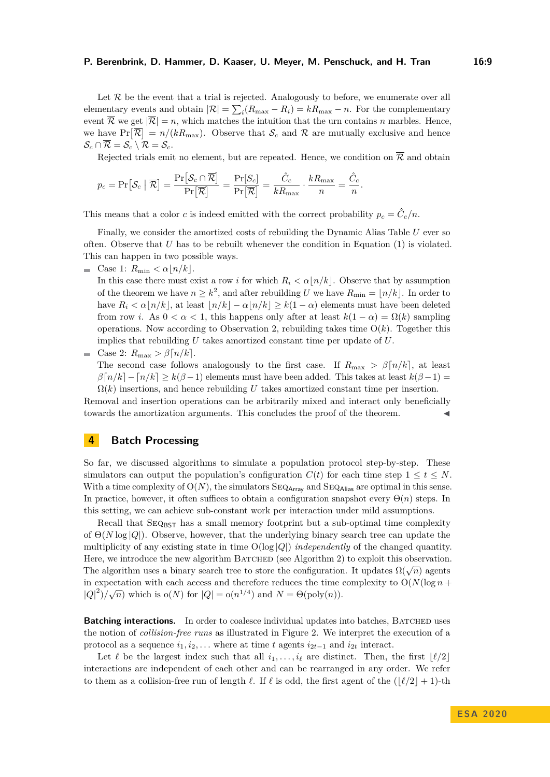#### **P. Berenbrink, D. Hammer, D. Kaaser, U. Meyer, M. Penschuck, and H. Tran 16:9**

Let  $R$  be the event that a trial is rejected. Analogously to before, we enumerate over all elementary events and obtain  $|\mathcal{R}| = \sum_{i} (R_{\text{max}} - R_i) = kR_{\text{max}} - n$ . For the complementary event  $\overline{\mathcal{R}}$  we get  $|\overline{\mathcal{R}}| = n$ , which matches the intuition that the urn contains *n* marbles. Hence, we have  $Pr[\overline{\mathcal{R}}] = n/(kR_{\text{max}})$ . Observe that  $\mathcal{S}_c$  and  $\mathcal{R}$  are mutually exclusive and hence  $\mathcal{S}_c \cap \overline{\mathcal{R}} = \mathcal{S}_c \setminus \mathcal{R} = \mathcal{S}_c.$ 

Rejected trials emit no element, but are repeated. Hence, we condition on  $\overline{\mathcal{R}}$  and obtain

$$
p_c = \Pr[\mathcal{S}_c \mid \overline{\mathcal{R}}] = \frac{\Pr[\mathcal{S}_c \cap \overline{\mathcal{R}}]}{\Pr[\overline{\mathcal{R}}]} = \frac{\Pr[S_c]}{\Pr[\overline{\mathcal{R}}]} = \frac{\hat{C}_c}{kR_{\max}} \cdot \frac{kR_{\max}}{n} = \frac{\hat{C}_c}{n}.
$$

This means that a color *c* is indeed emitted with the correct probability  $p_c = \hat{C}_c/n$ .

Finally, we consider the amortized costs of rebuilding the Dynamic Alias Table *U* ever so often. Observe that *U* has to be rebuilt whenever the condition in [Equation \(1\)](#page-7-1) is violated. This can happen in two possible ways.

 $\blacksquare$  Case 1:  $R_{\min} < \alpha |n/k|.$ 

In this case there must exist a row *i* for which  $R_i < \alpha \lfloor n/k \rfloor$ . Observe that by assumption of the theorem we have  $n \geq k^2$ , and after rebuilding *U* we have  $R_{\min} = \lfloor n/k \rfloor$ . In order to have  $R_i < \alpha \lfloor n/k \rfloor$ , at least  $\lfloor n/k \rfloor - \alpha \lfloor n/k \rfloor \ge k(1 - \alpha)$  elements must have been deleted from row *i*. As  $0 < \alpha < 1$ , this happens only after at least  $k(1 - \alpha) = \Omega(k)$  sampling operations. Now according to [Observation 2,](#page-6-2) rebuilding takes time  $O(k)$ . Together this implies that rebuilding *U* takes amortized constant time per update of *U*.

**c** Case 2:  $R_{\text{max}} > \beta \lceil n/k \rceil$ . The second case follows analogously to the first case. If  $R_{\text{max}} > \beta[n/k]$ , at least  $\beta[n/k]-[n/k]\geq k(\beta-1)$  elements must have been added. This takes at least  $k(\beta-1)=$  $\Omega(k)$  insertions, and hence rebuilding *U* takes amortized constant time per insertion.

Removal and insertion operations can be arbitrarily mixed and interact only beneficially towards the amortization arguments. This concludes the proof of the theorem.

# <span id="page-8-0"></span>**4 Batch Processing**

So far, we discussed algorithms to simulate a population protocol step-by-step. These simulators can output the population's configuration  $C(t)$  for each time step  $1 \le t \le N$ . With a time complexity of  $O(N)$ , the simulators  $\text{SEQ}_{\text{Array}}$  and  $\text{SEQ}_{\text{Alias}}$  are optimal in this sense. In practice, however, it often suffices to obtain a configuration snapshot every  $\Theta(n)$  steps. In this setting, we can achieve sub-constant work per interaction under mild assumptions.

Recall that  $SEQ_{\text{BST}}$  has a small memory footprint but a sub-optimal time complexity of Θ(*N* log |*Q*|). Observe, however, that the underlying binary search tree can update the multiplicity of any existing state in time O(log |*Q*|) *independently* of the changed quantity. Here, we introduce the new algorithm BATCHED (see [Algorithm 2\)](#page-10-0) to exploit this observation. The algorithm uses a binary search tree to store the configuration. It updates  $\Omega(\sqrt{n})$  agents The algorithm uses a binary search tree to store the configuration. It updates  $\Omega(\sqrt{n})$  agents in expectation with each access and therefore reduces the time complexity to  $O(N(\log n +$  $|Q|^2$ / $\sqrt{n}$ ) which is o(*N*) for  $|Q| = o(n^{1/4})$  and  $N = \Theta(\text{poly}(n))$ .

**Batching interactions.** In order to coalesce individual updates into batches, BATCHED uses the notion of *collision-free runs* as illustrated in [Figure 2.](#page-9-0) We interpret the execution of a protocol as a sequence  $i_1, i_2, \ldots$  where at time *t* agents  $i_{2t-1}$  and  $i_{2t}$  interact.

Let  $\ell$  be the largest index such that all  $i_1, \ldots, i_\ell$  are distinct. Then, the first  $|\ell/2|$ interactions are independent of each other and can be rearranged in any order. We refer to them as a collision-free run of length  $\ell$ . If  $\ell$  is odd, the first agent of the  $(|\ell/2| + 1)$ -th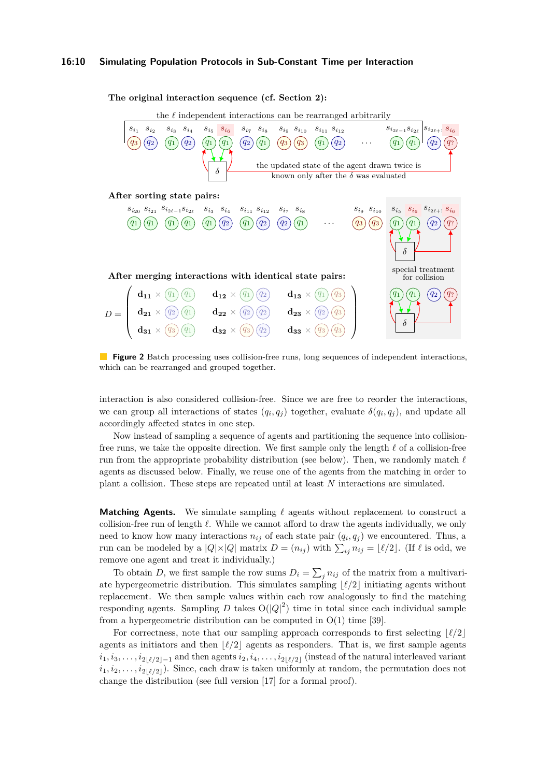### **16:10 Simulating Population Protocols in Sub-Constant Time per Interaction**

<span id="page-9-0"></span>

**Figure 2** Batch processing uses collision-free runs, long sequences of independent interactions, which can be rearranged and grouped together.

interaction is also considered collision-free. Since we are free to reorder the interactions, we can group all interactions of states  $(q_i, q_j)$  together, evaluate  $\delta(q_i, q_j)$ , and update all accordingly affected states in one step.

Now instead of sampling a sequence of agents and partitioning the sequence into collisionfree runs, we take the opposite direction. We first sample only the length  $\ell$  of a collision-free run from the appropriate probability distribution (see below). Then, we randomly match  $\ell$ agents as discussed below. Finally, we reuse one of the agents from the matching in order to plant a collision. These steps are repeated until at least *N* interactions are simulated.

**Matching Agents.** We simulate sampling  $\ell$  agents without replacement to construct a collision-free run of length  $\ell$ . While we cannot afford to draw the agents individually, we only need to know how many interactions  $n_{ij}$  of each state pair  $(q_i, q_j)$  we encountered. Thus, a run can be modeled by a  $|Q| \times |Q|$  matrix  $D = (n_{ij})$  with  $\sum_{ij} n_{ij} = \lfloor \ell/2 \rfloor$ . (If  $\ell$  is odd, we remove one agent and treat it individually.)

To obtain *D*, we first sample the row sums  $D_i = \sum_j n_{ij}$  of the matrix from a multivariate hypergeometric distribution. This simulates sampling  $\lvert \ell/2 \rvert$  initiating agents without replacement. We then sample values within each row analogously to find the matching responding agents. Sampling  $D$  takes  $O(|Q|^2)$  time in total since each individual sample from a hypergeometric distribution can be computed in  $O(1)$  time [\[39\]](#page-21-8).

For correctness, note that our sampling approach corresponds to first selecting  $\lvert \ell/2 \rvert$ agents as initiators and then  $\lvert \ell/2 \rvert$  agents as responders. That is, we first sample agents  $i_1, i_3, \ldots, i_{2|\ell/2|-1}$  and then agents  $i_2, i_4, \ldots, i_{2|\ell/2|}$  (instead of the natural interleaved variant  $i_1, i_2, \ldots, i_{2\lfloor \ell/2 \rfloor}$ . Since, each draw is taken uniformly at random, the permutation does not change the distribution (see full version [\[17\]](#page-20-0) for a formal proof).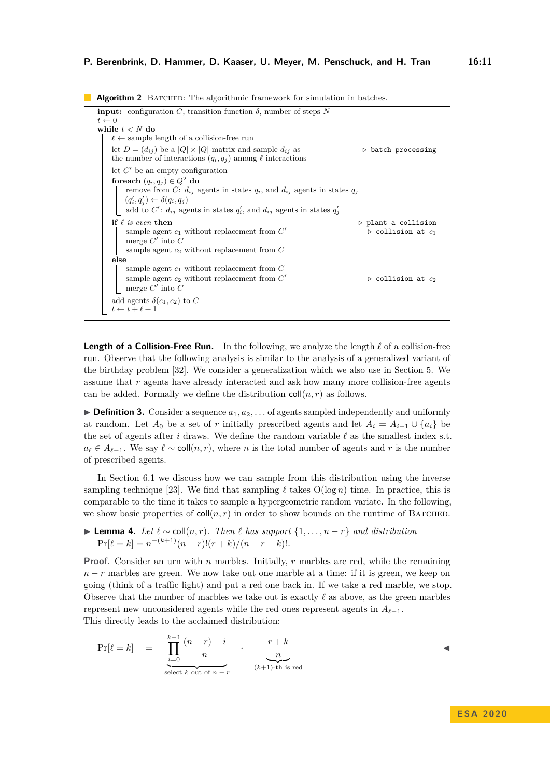**Algorithm 2** BATCHED: The algorithmic framework for simulation in batches.

<span id="page-10-0"></span>**input:** configuration *C*, transition function  $\delta$ , number of steps *N*  $t \leftarrow 0$ **while** *t < N* **do**  $\ell \leftarrow$  sample length of a collision-free run let  $D = (d_{ij})$  be a  $|Q| \times |Q|$  matrix and sample  $d_{ij}$  as  $\longrightarrow$  batch processing the number of interactions  $(q_i, q_j)$  among  $\ell$  interactions let  $C'$  be an empty configuration  ${\bf f}$ oreach  $(q_i,q_j)\in Q^2$  do remove from *C*:  $d_{ij}$  agents in states  $q_i$ , and  $d_{ij}$  agents in states  $q_j$  $(q'_i, q'_j) \leftarrow \delta(q_i, q_j)$ add to  $C'$ :  $d_{ij}$  agents in states  $q'_{i}$ , and  $d_{ij}$  agents in states  $q'_{j}$ **if**  $\ell$  *is even* then  $\ell$  *plant a collision* sample agent  $c_1$  without replacement from  $C'$ *.* collision at *c*<sup>1</sup> merge  $C'$  into  $C$ sample agent *c*<sup>2</sup> without replacement from *C* **else** sample agent *c*<sup>1</sup> without replacement from *C* sample agent  $c_2$  without replacement from  $C'$  $\triangleright$  collision at  $c_2$ merge  $C'$  into  $C$ add agents  $\delta(c_1, c_2)$  to C  $t \leftarrow t + \ell + 1$ 

**Length of a Collision-Free Run.** In the following, we analyze the length  $\ell$  of a collision-free run. Observe that the following analysis is similar to the analysis of a generalized variant of the birthday problem [\[32\]](#page-21-11). We consider a generalization which we also use in [Section 5.](#page-11-0) We assume that *r* agents have already interacted and ask how many more collision-free agents can be added. Formally we define the distribution  $\text{coll}(n, r)$  as follows.

 $\triangleright$  **Definition 3.** Consider a sequence  $a_1, a_2, \ldots$  of agents sampled independently and uniformly at random. Let  $A_0$  be a set of *r* initially prescribed agents and let  $A_i = A_{i-1} \cup \{a_i\}$  be the set of agents after *i* draws. We define the random variable  $\ell$  as the smallest index s.t.  $a_{\ell} \in A_{\ell-1}$ . We say  $\ell \sim \text{coll}(n, r)$ , where *n* is the total number of agents and *r* is the number of prescribed agents.

In [Section 6.1](#page-14-1) we discuss how we can sample from this distribution using the inverse sampling technique [\[23\]](#page-20-16). We find that sampling  $\ell$  takes  $O(\log n)$  time. In practice, this is comparable to the time it takes to sample a hypergeometric random variate. In the following, we show basic properties of  $\text{coll}(n, r)$  in order to show bounds on the runtime of BATCHED.

<span id="page-10-2"></span>**► Lemma 4.** Let  $\ell \sim \text{coll}(n, r)$ . Then  $\ell$  has support  $\{1, \ldots, n-r\}$  and distribution  $Pr[\ell = k] = n^{-(k+1)}(n-r)!(r+k)/(n-r-k)!$ .

**Proof.** Consider an urn with *n* marbles. Initially, *r* marbles are red, while the remaining *n* − *r* marbles are green. We now take out one marble at a time: if it is green, we keep on going (think of a traffic light) and put a red one back in. If we take a red marble, we stop. Observe that the number of marbles we take out is exactly  $\ell$  as above, as the green marbles represent new unconsidered agents while the red ones represent agents in  $A_{\ell-1}$ . This directly leads to the acclaimed distribution:

<span id="page-10-1"></span>
$$
\Pr[\ell = k] = \prod_{\substack{i=0 \text{select } k \text{ out of } n-r}}^{k-1} \cdot \frac{r+k}{n}
$$
  
\n
$$
\sum_{k=0 \text{select } k \text{ out of } n-r}^{r+k} \cdot \frac{r+k}{(k+1)\text{-th is red}}
$$

J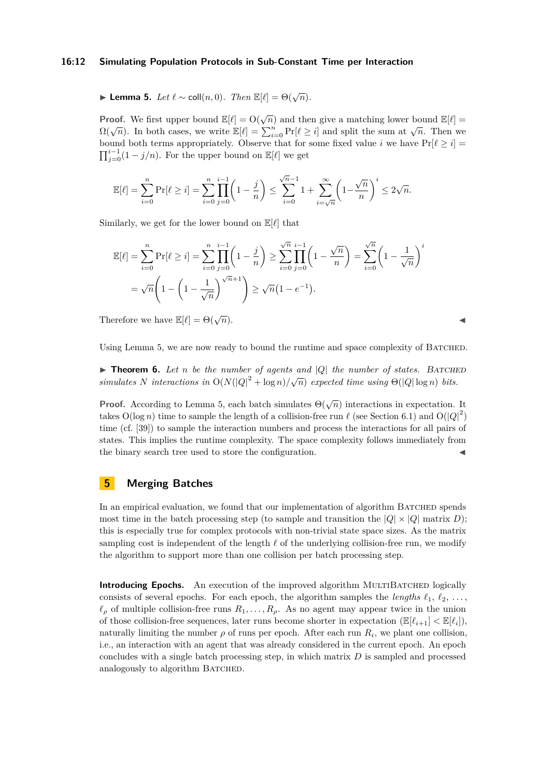### **16:12 Simulating Population Protocols in Sub-Constant Time per Interaction**

**► Lemma 5.** *Let*  $\ell \sim \text{coll}(n, 0)$ *. Then*  $\mathbb{E}[\ell] = \Theta(\sqrt{n})$ *.* 

**Proof.** We first upper bound  $\mathbb{E}[\ell] = O(\sqrt{n})$  and then give a matching lower bound  $\mathbb{E}[\ell] =$ **n**  $\Omega(\sqrt{n})$ . In both cases, we write  $\mathbb{E}[\ell] = \sum_{i=0}^{n} \Pr[\ell \geq i]$  and split the sum at  $\sqrt{n}$ . Then we bound both terms appropriately. Observe that for some fixed value *i* we have  $Pr[\ell \geq i]$  $\prod_{j=0}^{i-1} (1 - j/n)$ . For the upper bound on  $\mathbb{E}[\ell]$  we get

$$
\mathbb{E}[\ell]=\sum_{i=0}^n \Pr[\ell \geq i]=\sum_{i=0}^n \prod_{j=0}^{i-1} \biggl(1-\frac{j}{n}\biggr)\leq \sum_{i=0}^{\sqrt{n}-1} 1+\sum_{i=\sqrt{n}}^{\infty} \biggl(1-\frac{\sqrt{n}}{n}\biggr)^i\leq 2\sqrt{n}.
$$

Similarly, we get for the lower bound on  $\mathbb{E}[\ell]$  that

$$
\mathbb{E}[\ell] = \sum_{i=0}^{n} \Pr[\ell \ge i] = \sum_{i=0}^{n} \prod_{j=0}^{i-1} \left( 1 - \frac{j}{n} \right) \ge \sum_{i=0}^{\sqrt{n}} \prod_{j=0}^{i-1} \left( 1 - \frac{\sqrt{n}}{n} \right) = \sum_{i=0}^{\sqrt{n}} \left( 1 - \frac{1}{\sqrt{n}} \right)^{i}
$$

$$
= \sqrt{n} \left( 1 - \left( 1 - \frac{1}{\sqrt{n}} \right)^{\sqrt{n}+1} \right) \ge \sqrt{n} \left( 1 - e^{-1} \right).
$$

Therefore we have  $\mathbb{E}[\ell] = \Theta(\sqrt{n}).$  $\overline{n}$ ).

Using [Lemma 5,](#page-10-1) we are now ready to bound the runtime and space complexity of BATCHED.

 $\triangleright$  **Theorem 6.** Let *n* be the number of agents and |Q| the number of states. BATCHED **simulates** *N* interactions in  $O(N(|Q|^2 + \log n)/\sqrt{n})$  expected time using  $\Theta(|Q|\log n)$  bits.

**Proof.** According to [Lemma 5,](#page-10-1) each batch simulates  $\Theta(\sqrt{n})$  interactions in expectation. It takes  $O(\log n)$  time to sample the length of a collision-free run  $\ell$  (see [Section 6.1\)](#page-14-1) and  $O(|Q|^2)$ time (cf. [\[39\]](#page-21-8)) to sample the interaction numbers and process the interactions for all pairs of states. This implies the runtime complexity. The space complexity follows immediately from the binary search tree used to store the configuration.

# <span id="page-11-0"></span>**5 Merging Batches**

In an empirical evaluation, we found that our implementation of algorithm BATCHED spends most time in the batch processing step (to sample and transition the  $|Q| \times |Q|$  matrix *D*); this is especially true for complex protocols with non-trivial state space sizes. As the matrix sampling cost is independent of the length  $\ell$  of the underlying collision-free run, we modify the algorithm to support more than one collision per batch processing step.

**Introducing Epochs.** An execution of the improved algorithm MULTIBATCHED logically consists of several epochs. For each epoch, the algorithm samples the *lengths*  $\ell_1, \ell_2, \ldots$ ,  $\ell_{\rho}$  of multiple collision-free runs  $R_1, \ldots, R_{\rho}$ . As no agent may appear twice in the union of those collision-free sequences, later runs become shorter in expectation  $(\mathbb{E}[\ell_{i+1}] < \mathbb{E}[\ell_i])$ , naturally limiting the number  $\rho$  of runs per epoch. After each run  $R_i$ , we plant one collision, i.e., an interaction with an agent that was already considered in the current epoch. An epoch concludes with a single batch processing step, in which matrix *D* is sampled and processed analogously to algorithm BATCHED.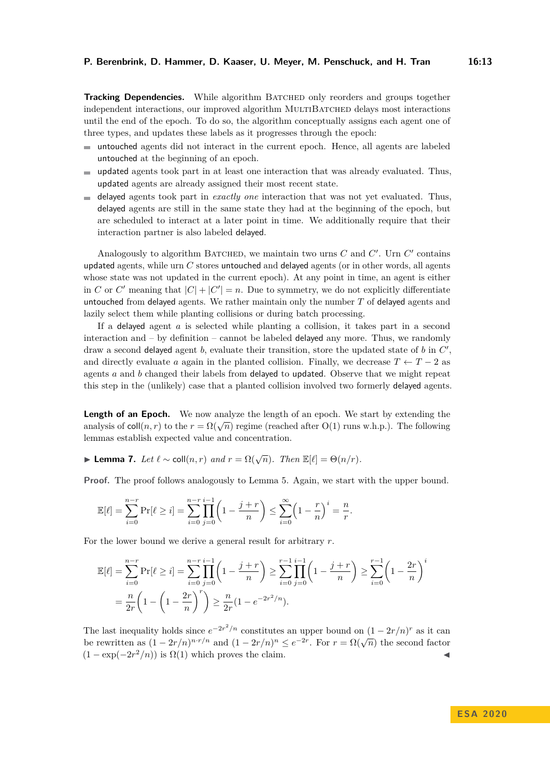**Tracking Dependencies.** While algorithm BATCHED only reorders and groups together independent interactions, our improved algorithm MULTIBATCHED delays most interactions until the end of the epoch. To do so, the algorithm conceptually assigns each agent one of three types, and updates these labels as it progresses through the epoch:

- untouched agents did not interact in the current epoch. Hence, all agents are labeled  $\blacksquare$ untouched at the beginning of an epoch.
- $\blacksquare$  updated agents took part in at least one interaction that was already evaluated. Thus, updated agents are already assigned their most recent state.
- $\blacksquare$  delayed agents took part in *exactly one* interaction that was not yet evaluated. Thus, delayed agents are still in the same state they had at the beginning of the epoch, but are scheduled to interact at a later point in time. We additionally require that their interaction partner is also labeled delayed.

Analogously to algorithm BATCHED, we maintain two urns  $C$  and  $C'$ . Urn  $C'$  contains updated agents, while urn *C* stores untouched and delayed agents (or in other words, all agents whose state was not updated in the current epoch). At any point in time, an agent is either in *C* or *C'* meaning that  $|C| + |C'| = n$ . Due to symmetry, we do not explicitly differentiate untouched from delayed agents. We rather maintain only the number *T* of delayed agents and lazily select them while planting collisions or during batch processing.

If a delayed agent *a* is selected while planting a collision, it takes part in a second interaction and  $-$  by definition  $-$  cannot be labeled delayed any more. Thus, we randomly draw a second delayed agent *b*, evaluate their transition, store the updated state of *b* in *C* 0 , and directly evaluate *a* again in the planted collision. Finally, we decrease  $T \leftarrow T - 2$  as agents *a* and *b* changed their labels from delayed to updated. Observe that we might repeat this step in the (unlikely) case that a planted collision involved two formerly delayed agents.

**Length of an Epoch.** We now analyze the length of an epoch. We start by extending the **Example 1 collection**  $\mathbb{R}$  regime (reached after O(1) runs w.h.p.). The following analysis of coll(*n, r*) to the  $r = \Omega(\sqrt{n})$  regime (reached after O(1) runs w.h.p.). The following lemmas establish expected value and concentration.

<span id="page-12-0"></span>**► Lemma 7.** *Let*  $\ell \sim$  coll $(n,r)$  *and*  $r = \Omega(\sqrt{n})$ *. Then*  $\mathbb{E}[\ell] = \Theta(n/r)$ *.* 

**Proof.** The proof follows analogously to [Lemma 5.](#page-10-1) Again, we start with the upper bound.

$$
\mathbb{E}[\ell] = \sum_{i=0}^{n-r} \Pr[\ell \ge i] = \sum_{i=0}^{n-r} \prod_{j=0}^{i-1} \left(1 - \frac{j+r}{n}\right) \le \sum_{i=0}^{\infty} \left(1 - \frac{r}{n}\right)^i = \frac{n}{r}.
$$

For the lower bound we derive a general result for arbitrary *r*.

$$
\mathbb{E}[\ell] = \sum_{i=0}^{n-r} \Pr[\ell \ge i] = \sum_{i=0}^{n-r} \prod_{j=0}^{i-1} \left( 1 - \frac{j+r}{n} \right) \ge \sum_{i=0}^{r-1} \prod_{j=0}^{i-1} \left( 1 - \frac{j+r}{n} \right) \ge \sum_{i=0}^{r-1} \left( 1 - \frac{2r}{n} \right)^i
$$

$$
= \frac{n}{2r} \left( 1 - \left( 1 - \frac{2r}{n} \right)^r \right) \ge \frac{n}{2r} (1 - e^{-2r^2/n}).
$$

The last inequality holds since  $e^{-2r^2/n}$  constitutes an upper bound on  $(1 - 2r/n)^r$  as it can be rewritten as  $(1 - 2r/n)^{n \cdot r/n}$  and  $(1 - 2r/n)^n \le e^{-2r}$ . For  $r = \Omega(\sqrt{n})$  the second factor  $(1 - \exp(-2r^2/n))$  is  $\Omega(1)$  which proves the claim.

**E S A 2 0 2 0**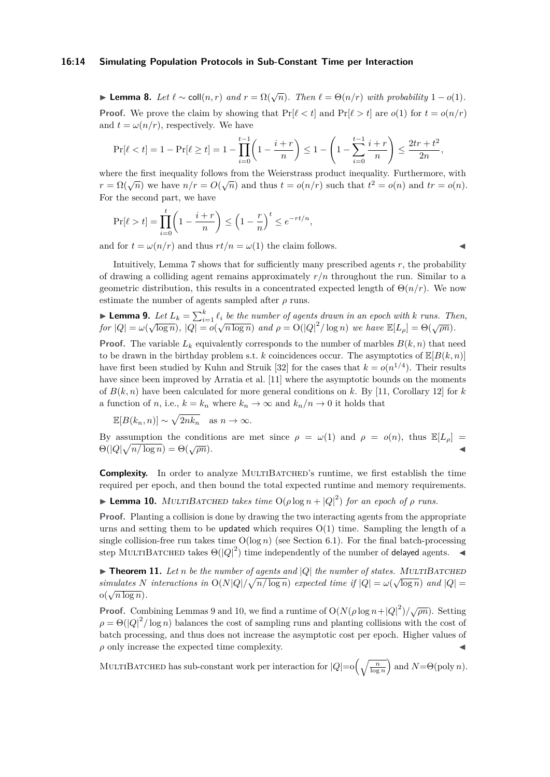### **16:14 Simulating Population Protocols in Sub-Constant Time per Interaction**

► **Lemma 8.** *Let*  $\ell \sim \text{coll}(n, r)$  *and*  $r = \Omega(\sqrt{n})$ *. Then*  $\ell = \Theta(n/r)$  *with probability*  $1 - o(1)$ *.* **Proof.** We prove the claim by showing that  $Pr[\ell < t]$  and  $Pr[\ell > t]$  are  $o(1)$  for  $t = o(n/r)$ and  $t = \omega(n/r)$ , respectively. We have

$$
\Pr[\ell < t] = 1 - \Pr[\ell \ge t] = 1 - \prod_{i=0}^{t-1} \left( 1 - \frac{i+r}{n} \right) \le 1 - \left( 1 - \sum_{i=0}^{t-1} \frac{i+r}{n} \right) \le \frac{2tr + t^2}{2n},
$$

where the first inequality follows from the Weierstrass product inequality. Furthermore, with *r* =  $\Omega(\sqrt{n})$  we have  $n/r = O(\sqrt{n})$  and thus  $t = o(n/r)$  such that  $t^2 = o(n)$  and  $tr = o(n)$ . For the second part, we have

$$
\Pr[\ell > t] = \prod_{i=0}^{t} \left( 1 - \frac{i+r}{n} \right) \le \left( 1 - \frac{r}{n} \right)^{t} \le e^{-rt/n},
$$

and for  $t = \omega(n/r)$  and thus  $rt/n = \omega(1)$  the claim follows.

Intuitively, [Lemma 7](#page-12-0) shows that for sufficiently many prescribed agents *r*, the probability of drawing a colliding agent remains approximately *r/n* throughout the run. Similar to a geometric distribution, this results in a concentrated expected length of  $\Theta(n/r)$ . We now estimate the number of agents sampled after  $\rho$  runs.

<span id="page-13-0"></span>**Lemma 9.** Let 
$$
L_k = \sum_{i=1}^k \ell_i
$$
 be the number of agents drawn in an epoch with k runs. Then, for  $|Q| = \omega(\sqrt{\log n})$ ,  $|Q| = o(\sqrt{n \log n})$  and  $\rho = O(|Q|^2/\log n)$  we have  $\mathbb{E}[L_\rho] = \Theta(\sqrt{\rho n})$ .

**Proof.** The variable  $L_k$  equivalently corresponds to the number of marbles  $B(k, n)$  that need to be drawn in the birthday problem s.t. *k* coincidences occur. The asymptotics of  $\mathbb{E}[B(k,n)]$ have first been studied by Kuhn and Struik [\[32\]](#page-21-11) for the cases that  $k = o(n^{1/4})$ . Their results have since been improved by Arratia et al. [\[11\]](#page-20-19) where the asymptotic bounds on the moments of  $B(k, n)$  have been calculated for more general conditions on k. By [\[11,](#page-20-19) Corollary 12] for k a function of *n*, i.e.,  $k = k_n$  where  $k_n \to \infty$  and  $k_n/n \to 0$  it holds that

$$
\mathbb{E}[B(k_n, n)] \sim \sqrt{2nk_n} \quad \text{as } n \to \infty.
$$

By assumption the conditions are met since  $\rho = \omega(1)$  and  $\rho = o(n)$ , thus  $\mathbb{E}[L_{\rho}]$  $\Theta(|Q| \sqrt{ }$  $\frac{m + 1}{n(\log n)} = \Theta(\sqrt{\rho n}).$ 

**Complexity.** In order to analyze MULTIBATCHED's runtime, we first establish the time required per epoch, and then bound the total expected runtime and memory requirements.

<span id="page-13-1"></span>**Example 10.** MULTIBATCHED takes time  $O(\rho \log n + |Q|^2)$  for an epoch of  $\rho$  runs.

**Proof.** Planting a collision is done by drawing the two interacting agents from the appropriate urns and setting them to be updated which requires  $O(1)$  time. Sampling the length of a single collision-free run takes time  $O(\log n)$  (see [Section 6.1\)](#page-14-1). For the final batch-processing step MULTIBATCHED takes  $\Theta(|Q|^2)$  time independently of the number of **delayed** agents.

 $\blacktriangleright$  **Theorem 11.** Let *n* be the number of agents and  $|Q|$  the number of states. MULTIBATCHED *simulates N interactions in*  $O(N|Q|/\sqrt{n/\log n})$  *expected time if*  $|Q| = \omega(\sqrt{\log n})$  *and*  $|Q| =$  $o(\sqrt{n \log n}).$ 

**Proof.** Combining [Lemmas 9](#page-13-0) and [10,](#page-13-1) we find a runtime of  $O(N(\rho \log n + |Q|^2)/\sqrt{\rho n})$ . Setting  $\rho = \Theta(|Q|^2/\log n)$  balances the cost of sampling runs and planting collisions with the cost of batch processing, and thus does not increase the asymptotic cost per epoch. Higher values of  $\rho$  only increase the expected time complexity.

MULTIBATCHED has sub-constant work per interaction for  $|Q| = o\left(\sqrt{\frac{n}{\log n}}\right)$  and  $N = \Theta(\text{poly } n)$ .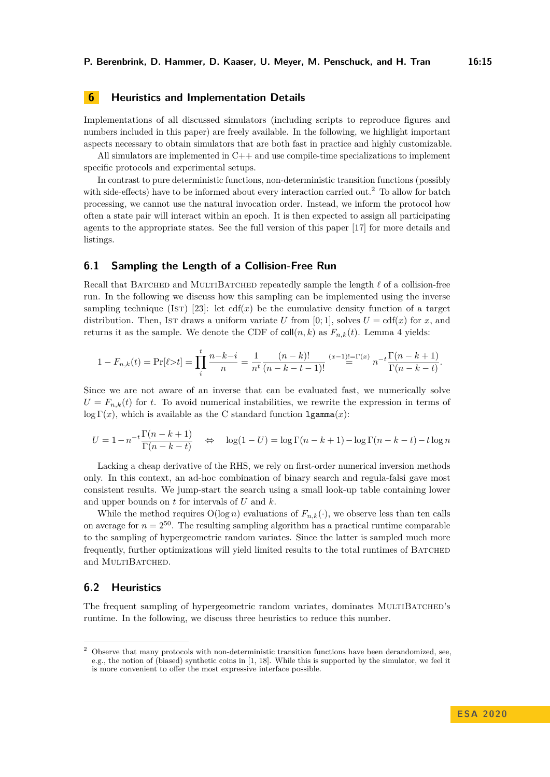# <span id="page-14-0"></span>**6 Heuristics and Implementation Details**

Implementations of all discussed simulators (including scripts to reproduce figures and numbers included in this paper) are freely available. In the following, we highlight important aspects necessary to obtain simulators that are both fast in practice and highly customizable.

All simulators are implemented in C++ and use compile-time specializations to implement specific protocols and experimental setups.

In contrast to pure deterministic functions, non-deterministic transition functions (possibly with side-effects) have to be informed about every interaction carried out.<sup>[2](#page-14-2)</sup> To allow for batch processing, we cannot use the natural invocation order. Instead, we inform the protocol how often a state pair will interact within an epoch. It is then expected to assign all participating agents to the appropriate states. See the full version of this paper [\[17\]](#page-20-0) for more details and listings.

### <span id="page-14-1"></span>**6.1 Sampling the Length of a Collision-Free Run**

Recall that BATCHED and MULTIBATCHED repeatedly sample the length  $\ell$  of a collision-free run. In the following we discuss how this sampling can be implemented using the inverse sampling technique (Ist) [\[23\]](#page-20-16): let  $cdf(x)$  be the cumulative density function of a target distribution. Then, Ist draws a uniform variate U from [0; 1], solves  $U = \text{cdf}(x)$  for x, and returns it as the sample. We denote the CDF of  $\text{coll}(n, k)$  as  $F_{n,k}(t)$ . [Lemma 4](#page-10-2) yields:

$$
1 - F_{n,k}(t) = \Pr[\ell > t] = \prod_{i=1}^{t} \frac{n - k - i}{n} = \frac{1}{n^t} \frac{(n - k)!}{(n - k - t - 1)!} \stackrel{(x - 1)! = \Gamma(x)}{=} n^{-t} \frac{\Gamma(n - k + 1)}{\Gamma(n - k - t)}.
$$

Since we are not aware of an inverse that can be evaluated fast, we numerically solve  $U = F_{n,k}(t)$  for *t*. To avoid numerical instabilities, we rewrite the expression in terms of log  $\Gamma(x)$ , which is available as the C standard function  $lgamma(x)$ :

$$
U = 1 - n^{-t} \frac{\Gamma(n-k+1)}{\Gamma(n-k-t)} \quad \Leftrightarrow \quad \log(1-U) = \log \Gamma(n-k+1) - \log \Gamma(n-k-t) - t \log n
$$

Lacking a cheap derivative of the RHS, we rely on first-order numerical inversion methods only. In this context, an ad-hoc combination of binary search and regula-falsi gave most consistent results. We jump-start the search using a small look-up table containing lower and upper bounds on *t* for intervals of *U* and *k*.

While the method requires  $O(\log n)$  evaluations of  $F_{n,k}(\cdot)$ , we observe less than ten calls on average for  $n = 2^{50}$ . The resulting sampling algorithm has a practical runtime comparable to the sampling of hypergeometric random variates. Since the latter is sampled much more frequently, further optimizations will yield limited results to the total runtimes of BATCHED and MULTIBATCHED.

# **6.2 Heuristics**

The frequent sampling of hypergeometric random variates, dominates MULTIBATCHED's runtime. In the following, we discuss three heuristics to reduce this number.

<span id="page-14-2"></span> $2$  Observe that many protocols with non-deterministic transition functions have been derandomized, see, e.g., the notion of (biased) synthetic coins in [\[1,](#page-19-4) [18\]](#page-20-11). While this is supported by the simulator, we feel it is more convenient to offer the most expressive interface possible.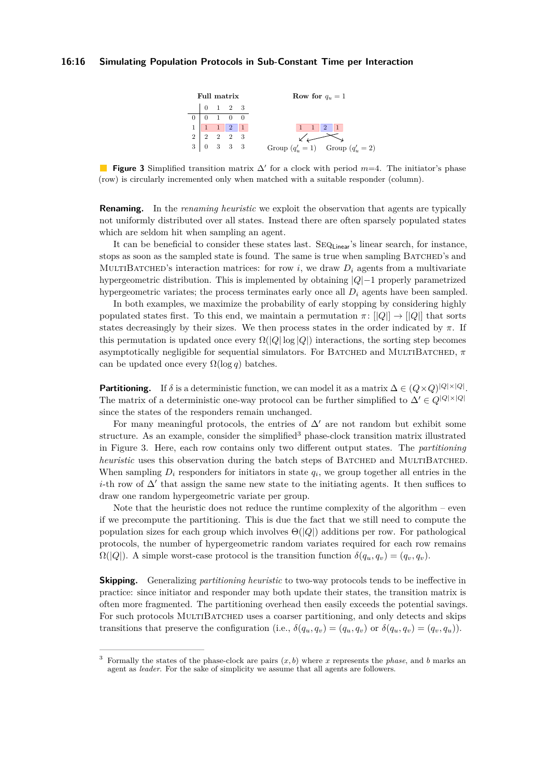### <span id="page-15-1"></span>**16:16 Simulating Population Protocols in Sub-Constant Time per Interaction**



**Figure 3** Simplified transition matrix  $\Delta'$  for a clock with period  $m=4$ . The initiator's phase (row) is circularly incremented only when matched with a suitable responder (column).

**Renaming.** In the *renaming heuristic* we exploit the observation that agents are typically not uniformly distributed over all states. Instead there are often sparsely populated states which are seldom hit when sampling an agent.

It can be beneficial to consider these states last. SEQ<sub>Linear</sub>'s linear search, for instance, stops as soon as the sampled state is found. The same is true when sampling BATCHED's and MULTIBATCHED's interaction matrices: for row  $i$ , we draw  $D_i$  agents from a multivariate hypergeometric distribution. This is implemented by obtaining |*Q*|−1 properly parametrized hypergeometric variates; the process terminates early once all  $D_i$  agents have been sampled.

In both examples, we maximize the probability of early stopping by considering highly populated states first. To this end, we maintain a permutation  $\pi$ :  $||Q|| \rightarrow ||Q||$  that sorts states decreasingly by their sizes. We then process states in the order indicated by  $\pi$ . If this permutation is updated once every  $\Omega(|Q| \log |Q|)$  interactions, the sorting step becomes asymptotically negligible for sequential simulators. For Batched and MultiBatched, *π* can be updated once every  $\Omega(\log q)$  batches.

**Partitioning.** If  $\delta$  is a deterministic function, we can model it as a matrix  $\Delta \in (Q \times Q)^{|Q| \times |Q|}$ . The matrix of a deterministic one-way protocol can be further simplified to  $\Delta' \in Q^{|Q| \times |Q|}$ since the states of the responders remain unchanged.

For many meaningful protocols, the entries of  $\Delta'$  are not random but exhibit some structure. As an example, consider the simplified<sup>[3](#page-15-0)</sup> phase-clock transition matrix illustrated in [Figure 3.](#page-15-1) Here, each row contains only two different output states. The *partitioning heuristic* uses this observation during the batch steps of BATCHED and MULTIBATCHED. When sampling  $D_i$  responders for initiators in state  $q_i$ , we group together all entries in the *i*-th row of  $\Delta'$  that assign the same new state to the initiating agents. It then suffices to draw one random hypergeometric variate per group.

Note that the heuristic does not reduce the runtime complexity of the algorithm – even if we precompute the partitioning. This is due the fact that we still need to compute the population sizes for each group which involves Θ(|*Q*|) additions per row. For pathological protocols, the number of hypergeometric random variates required for each row remains  $\Omega(|Q|)$ . A simple worst-case protocol is the transition function  $\delta(q_u, q_v) = (q_v, q_v)$ .

**Skipping.** Generalizing *partitioning heuristic* to two-way protocols tends to be ineffective in practice: since initiator and responder may both update their states, the transition matrix is often more fragmented. The partitioning overhead then easily exceeds the potential savings. For such protocols MULTIBATCHED uses a coarser partitioning, and only detects and skips transitions that preserve the configuration (i.e.,  $\delta(q_u, q_v) = (q_u, q_v)$  or  $\delta(q_u, q_v) = (q_v, q_u)$ ).

<span id="page-15-0"></span><sup>&</sup>lt;sup>3</sup> Formally the states of the phase-clock are pairs  $(x, b)$  where *x* represents the *phase*, and *b* marks an agent as *leader*. For the sake of simplicity we assume that all agents are followers.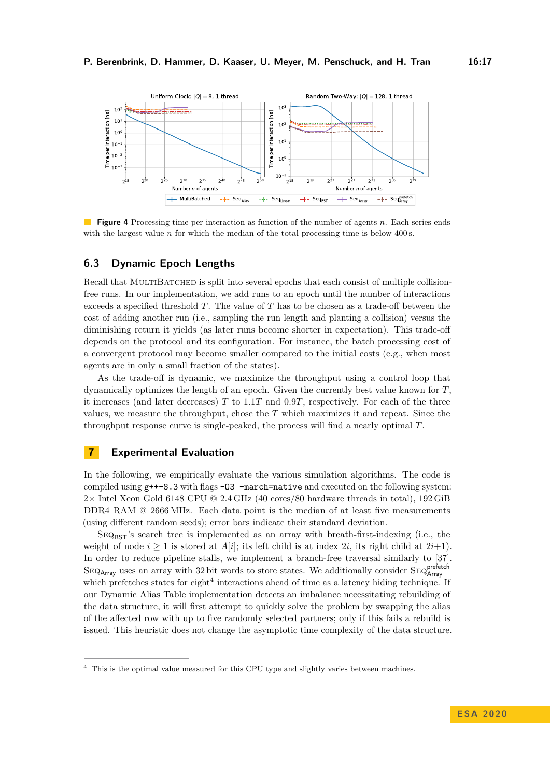<span id="page-16-2"></span>

**Figure 4** Processing time per interaction as function of the number of agents *n*. Each series ends with the largest value *n* for which the median of the total processing time is below 400 s.

## **6.3 Dynamic Epoch Lengths**

Recall that MULTIBATCHED is split into several epochs that each consist of multiple collisionfree runs. In our implementation, we add runs to an epoch until the number of interactions exceeds a specified threshold *T*. The value of *T* has to be chosen as a trade-off between the cost of adding another run (i.e., sampling the run length and planting a collision) versus the diminishing return it yields (as later runs become shorter in expectation). This trade-off depends on the protocol and its configuration. For instance, the batch processing cost of a convergent protocol may become smaller compared to the initial costs (e.g., when most agents are in only a small fraction of the states).

As the trade-off is dynamic, we maximize the throughput using a control loop that dynamically optimizes the length of an epoch. Given the currently best value known for *T*, it increases (and later decreases) *T* to 1*.*1*T* and 0*.*9*T*, respectively. For each of the three values, we measure the throughput, chose the *T* which maximizes it and repeat. Since the throughput response curve is single-peaked, the process will find a nearly optimal *T*.

# <span id="page-16-0"></span>**7 Experimental Evaluation**

In the following, we empirically evaluate the various simulation algorithms. The code is compiled using  $g++-8.3$  with flags  $-03$  -march=native and executed on the following system: 2× Intel Xeon Gold 6148 CPU @ 2*.*4 GHz (40 cores/80 hardware threads in total), 192 GiB DDR4 RAM @ 2666 MHz. Each data point is the median of at least five measurements (using different random seeds); error bars indicate their standard deviation.

 $SEQ_{\text{BST}}$ 's search tree is implemented as an array with breath-first-indexing (i.e., the weight of node  $i \geq 1$  is stored at  $A[i]$ ; its left child is at index 2*i*, its right child at 2*i*+1). In order to reduce pipeline stalls, we implement a branch-free traversal similarly to [\[37\]](#page-21-12).  $\text{SEQ}_{\text{Array}}$  uses an array with 32 bit words to store states. We additionally consider  $\text{SEQ}_{\text{Array}}^{\text{perfect}}$ which prefetches states for eight<sup>[4](#page-16-1)</sup> interactions ahead of time as a latency hiding technique. If our Dynamic Alias Table implementation detects an imbalance necessitating rebuilding of the data structure, it will first attempt to quickly solve the problem by swapping the alias of the affected row with up to five randomly selected partners; only if this fails a rebuild is issued. This heuristic does not change the asymptotic time complexity of the data structure.

<span id="page-16-1"></span>This is the optimal value measured for this CPU type and slightly varies between machines.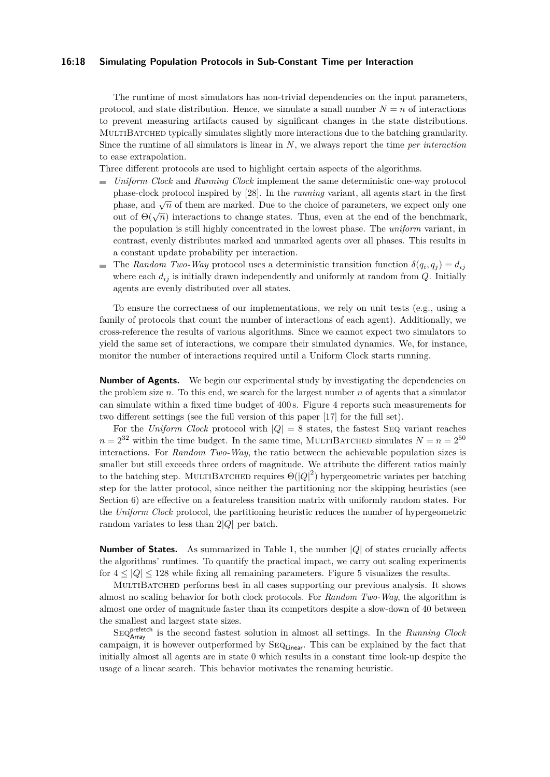### **16:18 Simulating Population Protocols in Sub-Constant Time per Interaction**

The runtime of most simulators has non-trivial dependencies on the input parameters, protocol, and state distribution. Hence, we simulate a small number  $N = n$  of interactions to prevent measuring artifacts caused by significant changes in the state distributions. MULTIBATCHED typically simulates slightly more interactions due to the batching granularity. Since the runtime of all simulators is linear in *N*, we always report the time *per interaction* to ease extrapolation.

Three different protocols are used to highlight certain aspects of the algorithms.

- *Uniform Clock* and *Running Clock* implement the same deterministic one-way protocol ÷. phase-clock protocol inspired by [\[28\]](#page-20-12). In the *running* variant, all agents start in the first phase, and  $\sqrt{n}$  of them are marked. Due to the choice of parameters, we expect only one  $\phi$  of  $\Theta(\sqrt{n})$  interactions to change states. Thus, even at the end of the benchmark, the population is still highly concentrated in the lowest phase. The *uniform* variant, in contrast, evenly distributes marked and unmarked agents over all phases. This results in a constant update probability per interaction.
- The *Random Two-Way* protocol uses a deterministic transition function  $\delta(q_i, q_j) = d_{ij}$ where each  $d_{ij}$  is initially drawn independently and uniformly at random from  $Q$ . Initially agents are evenly distributed over all states.

To ensure the correctness of our implementations, we rely on unit tests (e.g., using a family of protocols that count the number of interactions of each agent). Additionally, we cross-reference the results of various algorithms. Since we cannot expect two simulators to yield the same set of interactions, we compare their simulated dynamics. We, for instance, monitor the number of interactions required until a Uniform Clock starts running.

**Number of Agents.** We begin our experimental study by investigating the dependencies on the problem size *n*. To this end, we search for the largest number *n* of agents that a simulator can simulate within a fixed time budget of 400 s. [Figure 4](#page-16-2) reports such measurements for two different settings (see the full version of this paper [\[17\]](#page-20-0) for the full set).

For the *Uniform Clock* protocol with  $|Q| = 8$  states, the fastest SEQ variant reaches  $n = 2^{32}$  within the time budget. In the same time, MULTIBATCHED simulates  $N = n = 2^{50}$ interactions. For *Random Two-Way*, the ratio between the achievable population sizes is smaller but still exceeds three orders of magnitude. We attribute the different ratios mainly to the batching step. MULTIBATCHED requires  $\Theta(|Q|^2)$  hypergeometric variates per batching step for the latter protocol, since neither the partitioning nor the skipping heuristics (see [Section 6\)](#page-14-0) are effective on a featureless transition matrix with uniformly random states. For the *Uniform Clock* protocol, the partitioning heuristic reduces the number of hypergeometric random variates to less than 2|*Q*| per batch.

**Number of States.** As summarized in [Table 1,](#page-2-1) the number |*Q*| of states crucially affects the algorithms' runtimes. To quantify the practical impact, we carry out scaling experiments for  $4 \leq |Q| \leq 128$  while fixing all remaining parameters. [Figure 5](#page-18-0) visualizes the results.

MultiBatched performs best in all cases supporting our previous analysis. It shows almost no scaling behavior for both clock protocols. For *Random Two-Way*, the algorithm is almost one order of magnitude faster than its competitors despite a slow-down of 40 between the smallest and largest state sizes.

Seqprefetch Array is the second fastest solution in almost all settings. In the *Running Clock* campaign, it is however outperformed by  $SEQ_{Linear}$ . This can be explained by the fact that initially almost all agents are in state 0 which results in a constant time look-up despite the usage of a linear search. This behavior motivates the renaming heuristic.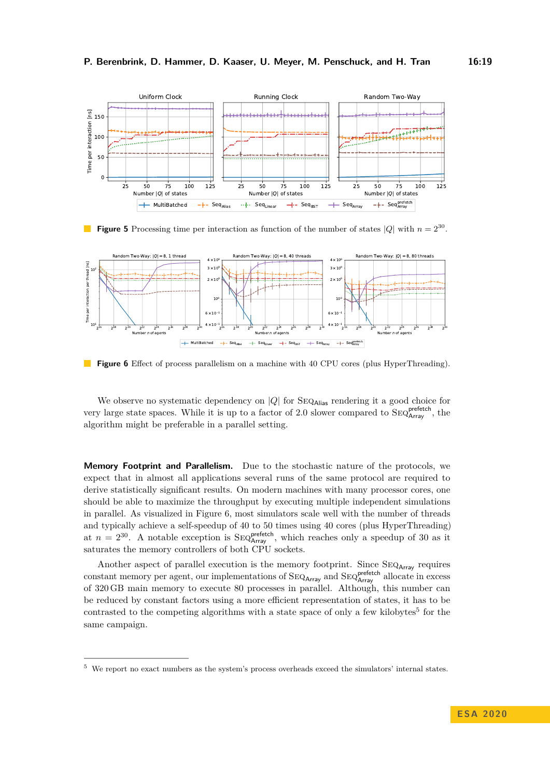<span id="page-18-0"></span>

**Figure 5** Processing time per interaction as function of the number of states  $|Q|$  with  $n = 2^{30}$ .

<span id="page-18-1"></span>

**Figure 6** Effect of process parallelism on a machine with 40 CPU cores (plus HyperThreading).

We observe no systematic dependency on  $|Q|$  for  $\text{SEQ}_{\text{Alias}}$  rendering it a good choice for very large state spaces. While it is up to a factor of 2.0 slower compared to  $\text{Seq}^{\text{prefetch}}_{\text{Array}}$ , the algorithm might be preferable in a parallel setting.

**Memory Footprint and Parallelism.** Due to the stochastic nature of the protocols, we expect that in almost all applications several runs of the same protocol are required to derive statistically significant results. On modern machines with many processor cores, one should be able to maximize the throughput by executing multiple independent simulations in parallel. As visualized in [Figure 6,](#page-18-1) most simulators scale well with the number of threads and typically achieve a self-speedup of 40 to 50 times using 40 cores (plus HyperThreading) at  $n = 2^{30}$ . A notable exception is  $\text{SEQ}^{\text{prefetch}}_{\text{Array}}$ , which reaches only a speedup of 30 as it saturates the memory controllers of both CPU sockets.

Another aspect of parallel execution is the memory footprint. Since SEQ<sub>Array</sub> requires constant memory per agent, our implementations of  $\text{SEQ}_{Array}$  and  $\text{SEQ}_{Array}^{perfect}$  allocate in excess of 320 GB main memory to execute 80 processes in parallel. Although, this number can be reduced by constant factors using a more efficient representation of states, it has to be contrasted to the competing algorithms with a state space of only a few kilobytes<sup>[5](#page-18-2)</sup> for the same campaign.

<span id="page-18-2"></span>We report no exact numbers as the system's process overheads exceed the simulators' internal states.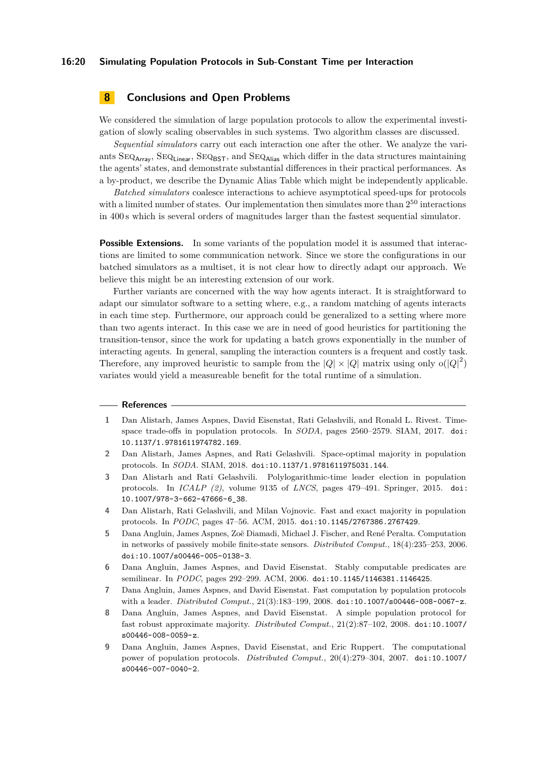# **8 Conclusions and Open Problems**

We considered the simulation of large population protocols to allow the experimental investigation of slowly scaling observables in such systems. Two algorithm classes are discussed.

*Sequential simulators* carry out each interaction one after the other. We analyze the variants  $\text{SEQ}_{\text{Array}}$ ,  $\text{SEQ}_{\text{Linear}}$ ,  $\text{SEQ}_{\text{EST}}$ , and  $\text{SEQ}_{\text{Alias}}$  which differ in the data structures maintaining the agents' states, and demonstrate substantial differences in their practical performances. As a by-product, we describe the Dynamic Alias Table which might be independently applicable.

*Batched simulators* coalesce interactions to achieve asymptotical speed-ups for protocols with a limited number of states. Our implementation then simulates more than  $2^{50}$  interactions in 400 s which is several orders of magnitudes larger than the fastest sequential simulator.

**Possible Extensions.** In some variants of the population model it is assumed that interactions are limited to some communication network. Since we store the configurations in our batched simulators as a multiset, it is not clear how to directly adapt our approach. We believe this might be an interesting extension of our work.

Further variants are concerned with the way how agents interact. It is straightforward to adapt our simulator software to a setting where, e.g., a random matching of agents interacts in each time step. Furthermore, our approach could be generalized to a setting where more than two agents interact. In this case we are in need of good heuristics for partitioning the transition-tensor, since the work for updating a batch grows exponentially in the number of interacting agents. In general, sampling the interaction counters is a frequent and costly task. Therefore, any improved heuristic to sample from the  $|Q| \times |Q|$  matrix using only  $o(|Q|^2)$ variates would yield a measureable benefit for the total runtime of a simulation.

#### **References**

- <span id="page-19-4"></span>**1** Dan Alistarh, James Aspnes, David Eisenstat, Rati Gelashvili, and Ronald L. Rivest. Timespace trade-offs in population protocols. In *SODA*, pages 2560–2579. SIAM, 2017. [doi:](https://doi.org/10.1137/1.9781611974782.169) [10.1137/1.9781611974782.169](https://doi.org/10.1137/1.9781611974782.169).
- <span id="page-19-5"></span>**2** Dan Alistarh, James Aspnes, and Rati Gelashvili. Space-optimal majority in population protocols. In *SODA*. SIAM, 2018. [doi:10.1137/1.9781611975031.144](https://doi.org/10.1137/1.9781611975031.144).
- <span id="page-19-7"></span>**3** Dan Alistarh and Rati Gelashvili. Polylogarithmic-time leader election in population protocols. In *ICALP (2)*, volume 9135 of *LNCS*, pages 479–491. Springer, 2015. [doi:](https://doi.org/10.1007/978-3-662-47666-6_38) [10.1007/978-3-662-47666-6\\_38](https://doi.org/10.1007/978-3-662-47666-6_38).
- <span id="page-19-6"></span>**4** Dan Alistarh, Rati Gelashvili, and Milan Vojnovic. Fast and exact majority in population protocols. In *PODC*, pages 47–56. ACM, 2015. [doi:10.1145/2767386.2767429](https://doi.org/10.1145/2767386.2767429).
- <span id="page-19-0"></span>**5** Dana Angluin, James Aspnes, Zoë Diamadi, Michael J. Fischer, and René Peralta. Computation in networks of passively mobile finite-state sensors. *Distributed Comput.*, 18(4):235–253, 2006. [doi:10.1007/s00446-005-0138-3](https://doi.org/10.1007/s00446-005-0138-3).
- <span id="page-19-1"></span>**6** Dana Angluin, James Aspnes, and David Eisenstat. Stably computable predicates are semilinear. In *PODC*, pages 292–299. ACM, 2006. [doi:10.1145/1146381.1146425](https://doi.org/10.1145/1146381.1146425).
- <span id="page-19-8"></span>**7** Dana Angluin, James Aspnes, and David Eisenstat. Fast computation by population protocols with a leader. *Distributed Comput.*, 21(3):183–199, 2008. [doi:10.1007/s00446-008-0067-z](https://doi.org/10.1007/s00446-008-0067-z).
- <span id="page-19-3"></span>**8** Dana Angluin, James Aspnes, and David Eisenstat. A simple population protocol for fast robust approximate majority. *Distributed Comput.*, 21(2):87–102, 2008. [doi:10.1007/](https://doi.org/10.1007/s00446-008-0059-z) [s00446-008-0059-z](https://doi.org/10.1007/s00446-008-0059-z).
- <span id="page-19-2"></span>**9** Dana Angluin, James Aspnes, David Eisenstat, and Eric Ruppert. The computational power of population protocols. *Distributed Comput.*, 20(4):279–304, 2007. [doi:10.1007/](https://doi.org/10.1007/s00446-007-0040-2) [s00446-007-0040-2](https://doi.org/10.1007/s00446-007-0040-2).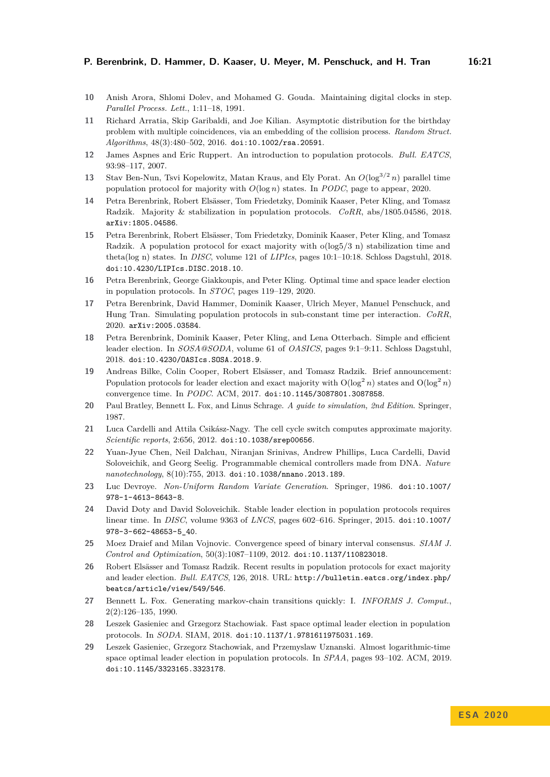- <span id="page-20-15"></span>**10** Anish Arora, Shlomi Dolev, and Mohamed G. Gouda. Maintaining digital clocks in step. *Parallel Process. Lett.*, 1:11–18, 1991.
- <span id="page-20-19"></span>**11** Richard Arratia, Skip Garibaldi, and Joe Kilian. Asymptotic distribution for the birthday problem with multiple coincidences, via an embedding of the collision process. *Random Struct. Algorithms*, 48(3):480–502, 2016. [doi:10.1002/rsa.20591](https://doi.org/10.1002/rsa.20591).
- <span id="page-20-3"></span>**12** James Aspnes and Eric Ruppert. An introduction to population protocols. *Bull. EATCS*, 93:98–117, 2007.
- <span id="page-20-9"></span>**13** Stav Ben-Nun, Tsvi Kopelowitz, Matan Kraus, and Ely Porat. An *O*(log<sup>3</sup>*/*<sup>2</sup> *n*) parallel time population protocol for majority with *O*(log *n*) states. In *PODC*, page to appear, 2020.
- <span id="page-20-8"></span>**14** Petra Berenbrink, Robert Elsässer, Tom Friedetzky, Dominik Kaaser, Peter Kling, and Tomasz Radzik. Majority & stabilization in population protocols. *CoRR*, abs/1805.04586, 2018. [arXiv:1805.04586](http://arxiv.org/abs/1805.04586).
- <span id="page-20-7"></span>**15** Petra Berenbrink, Robert Elsässer, Tom Friedetzky, Dominik Kaaser, Peter Kling, and Tomasz Radzik. A population protocol for exact majority with o(log5/3 n) stabilization time and theta(log n) states. In *DISC*, volume 121 of *LIPIcs*, pages 10:1–10:18. Schloss Dagstuhl, 2018. [doi:10.4230/LIPIcs.DISC.2018.10](https://doi.org/10.4230/LIPIcs.DISC.2018.10).
- <span id="page-20-14"></span>**16** Petra Berenbrink, George Giakkoupis, and Peter Kling. Optimal time and space leader election in population protocols. In *STOC*, pages 119–129, 2020.
- <span id="page-20-0"></span>**17** Petra Berenbrink, David Hammer, Dominik Kaaser, Ulrich Meyer, Manuel Penschuck, and Hung Tran. Simulating population protocols in sub-constant time per interaction. *CoRR*, 2020. [arXiv:2005.03584](http://arxiv.org/abs/2005.03584).
- <span id="page-20-11"></span>**18** Petra Berenbrink, Dominik Kaaser, Peter Kling, and Lena Otterbach. Simple and efficient leader election. In *SOSA@SODA*, volume 61 of *OASICS*, pages 9:1–9:11. Schloss Dagstuhl, 2018. [doi:10.4230/OASIcs.SOSA.2018.9](https://doi.org/10.4230/OASIcs.SOSA.2018.9).
- <span id="page-20-6"></span>**19** Andreas Bilke, Colin Cooper, Robert Elsässer, and Tomasz Radzik. Brief announcement: Population protocols for leader election and exact majority with  $O(\log^2 n)$  states and  $O(\log^2 n)$ convergence time. In *PODC*. ACM, 2017. [doi:10.1145/3087801.3087858](https://doi.org/10.1145/3087801.3087858).
- <span id="page-20-17"></span>**20** Paul Bratley, Bennett L. Fox, and Linus Schrage. *A guide to simulation, 2nd Edition*. Springer, 1987.
- <span id="page-20-2"></span>**21** Luca Cardelli and Attila Csikász-Nagy. The cell cycle switch computes approximate majority. *Scientific reports*, 2:656, 2012. [doi:10.1038/srep00656](https://doi.org/10.1038/srep00656).
- <span id="page-20-1"></span>**22** Yuan-Jyue Chen, Neil Dalchau, Niranjan Srinivas, Andrew Phillips, Luca Cardelli, David Soloveichik, and Georg Seelig. Programmable chemical controllers made from DNA. *Nature nanotechnology*, 8(10):755, 2013. [doi:10.1038/nnano.2013.189](https://doi.org/10.1038/nnano.2013.189).
- <span id="page-20-16"></span>**23** Luc Devroye. *Non-Uniform Random Variate Generation*. Springer, 1986. [doi:10.1007/](https://doi.org/10.1007/978-1-4613-8643-8) [978-1-4613-8643-8](https://doi.org/10.1007/978-1-4613-8643-8).
- <span id="page-20-10"></span>**24** David Doty and David Soloveichik. Stable leader election in population protocols requires linear time. In *DISC*, volume 9363 of *LNCS*, pages 602–616. Springer, 2015. [doi:10.1007/](https://doi.org/10.1007/978-3-662-48653-5_40) [978-3-662-48653-5\\_40](https://doi.org/10.1007/978-3-662-48653-5_40).
- <span id="page-20-5"></span>**25** Moez Draief and Milan Vojnovic. Convergence speed of binary interval consensus. *SIAM J. Control and Optimization*, 50(3):1087–1109, 2012. [doi:10.1137/110823018](https://doi.org/10.1137/110823018).
- <span id="page-20-4"></span>**26** Robert Elsässer and Tomasz Radzik. Recent results in population protocols for exact majority and leader election. *Bull. EATCS*, 126, 2018. URL: [http://bulletin.eatcs.org/index.php/](http://bulletin.eatcs.org/index.php/beatcs/article/view/549/546) [beatcs/article/view/549/546](http://bulletin.eatcs.org/index.php/beatcs/article/view/549/546).
- <span id="page-20-18"></span>**27** Bennett L. Fox. Generating markov-chain transitions quickly: I. *INFORMS J. Comput.*, 2(2):126–135, 1990.
- <span id="page-20-12"></span>**28** Leszek Gasieniec and Grzegorz Stachowiak. Fast space optimal leader election in population protocols. In *SODA*. SIAM, 2018. [doi:10.1137/1.9781611975031.169](https://doi.org/10.1137/1.9781611975031.169).
- <span id="page-20-13"></span>**29** Leszek Gasieniec, Grzegorz Stachowiak, and Przemyslaw Uznanski. Almost logarithmic-time space optimal leader election in population protocols. In *SPAA*, pages 93–102. ACM, 2019. [doi:10.1145/3323165.3323178](https://doi.org/10.1145/3323165.3323178).